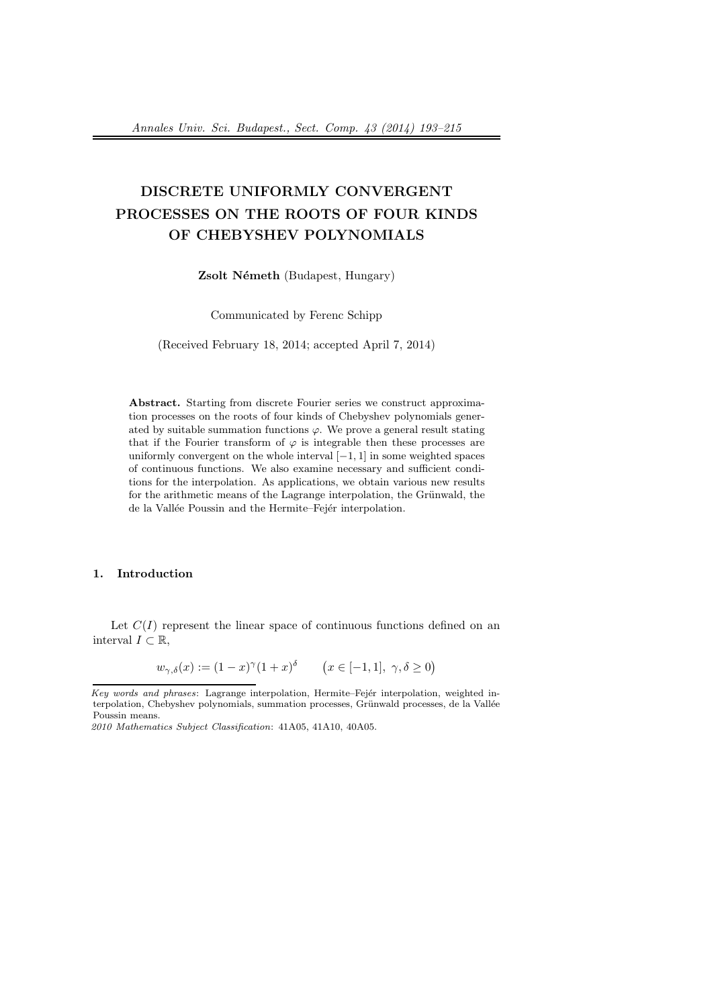# DISCRETE UNIFORMLY CONVERGENT PROCESSES ON THE ROOTS OF FOUR KINDS OF CHEBYSHEV POLYNOMIALS

Zsolt Németh (Budapest, Hungary)

Communicated by Ferenc Schipp

(Received February 18, 2014; accepted April 7, 2014)

Abstract. Starting from discrete Fourier series we construct approximation processes on the roots of four kinds of Chebyshev polynomials generated by suitable summation functions  $\varphi$ . We prove a general result stating that if the Fourier transform of  $\varphi$  is integrable then these processes are uniformly convergent on the whole interval  $[-1, 1]$  in some weighted spaces of continuous functions. We also examine necessary and sufficient conditions for the interpolation. As applications, we obtain various new results for the arithmetic means of the Lagrange interpolation, the Grünwald, the de la Vallée Poussin and the Hermite–Fejér interpolation.

#### 1. Introduction

Let  $C(I)$  represent the linear space of continuous functions defined on an interval  $I \subset \mathbb{R}$ ,

$$
w_{\gamma,\delta}(x) := (1-x)^{\gamma}(1+x)^{\delta} \qquad (x \in [-1,1], \ \gamma,\delta \ge 0)
$$

 $Key words and phrases: Lagrange interpolation, Hermite-Fejér interpolation, weighted in$ terpolation, Chebyshev polynomials, summation processes, Grünwald processes, de la Vallée Poussin means.

<sup>2010</sup> Mathematics Subject Classification: 41A05, 41A10, 40A05.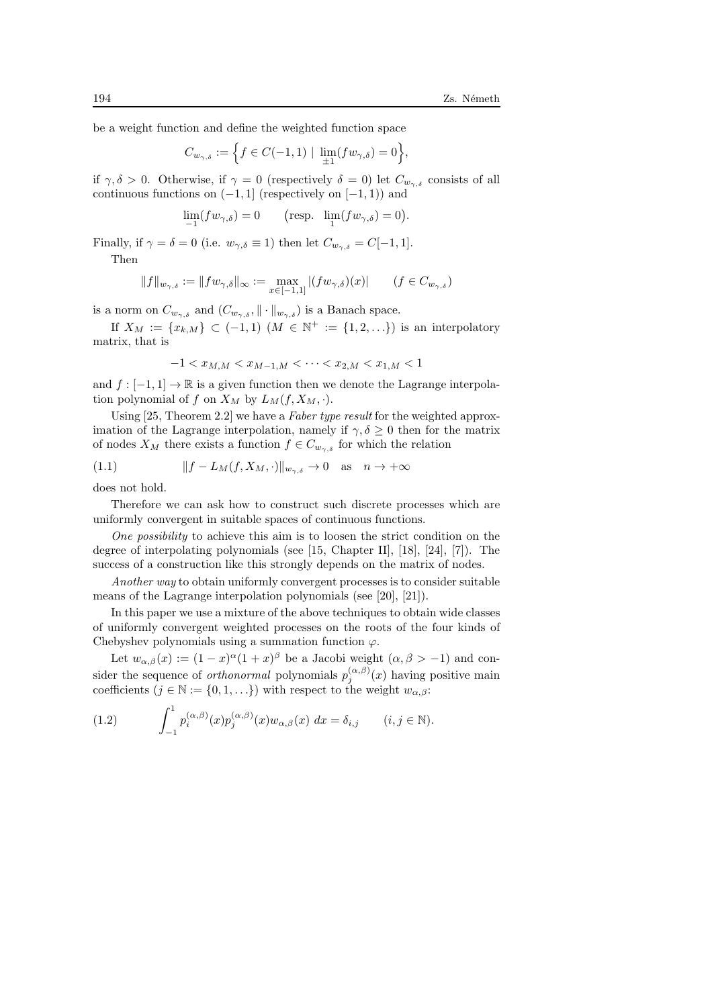be a weight function and define the weighted function space

$$
C_{w_{\gamma,\delta}} := \Big\{ f \in C(-1,1) \mid \lim_{\pm 1} (fw_{\gamma,\delta}) = 0 \Big\},\,
$$

if  $\gamma, \delta > 0$ . Otherwise, if  $\gamma = 0$  (respectively  $\delta = 0$ ) let  $C_{w_{\gamma,\delta}}$  consists of all continuous functions on  $(-1, 1]$  (respectively on  $[-1, 1]$ ) and

$$
\lim_{-1}(fw_{\gamma,\delta}) = 0 \qquad \text{(resp. } \lim_{1}(fw_{\gamma,\delta}) = 0\text{)}.
$$

Finally, if  $\gamma = \delta = 0$  (i.e.  $w_{\gamma,\delta} \equiv 1$ ) then let  $C_{w_{\gamma,\delta}} = C[-1,1]$ .

Then

$$
||f||_{w_{\gamma,\delta}} := ||fw_{\gamma,\delta}||_{\infty} := \max_{x \in [-1,1]} |(fw_{\gamma,\delta})(x)| \qquad (f \in C_{w_{\gamma,\delta}})
$$

is a norm on  $C_{w_{\gamma,\delta}}$  and  $(C_{w_{\gamma,\delta}}, \|\cdot\|_{w_{\gamma,\delta}})$  is a Banach space.

If  $X_M := \{x_{k,M}\} \subset (-1,1)$   $(M \in \mathbb{N}^+ := \{1,2,\ldots\})$  is an interpolatory matrix, that is

$$
-1 < x_{M,M} < x_{M-1,M} < \cdots < x_{2,M} < x_{1,M} < 1
$$

and  $f : [-1, 1] \to \mathbb{R}$  is a given function then we denote the Lagrange interpolation polynomial of f on  $X_M$  by  $L_M(f, X_M, \cdot)$ .

Using [25, Theorem 2.2] we have a Faber type result for the weighted approximation of the Lagrange interpolation, namely if  $\gamma, \delta \geq 0$  then for the matrix of nodes  $X_M$  there exists a function  $f \in C_{w_{\gamma,\delta}}$  for which the relation

(1.1) 
$$
||f - L_M(f, X_M, \cdot)||_{w_{\gamma, \delta}} \to 0 \text{ as } n \to +\infty
$$

does not hold.

Therefore we can ask how to construct such discrete processes which are uniformly convergent in suitable spaces of continuous functions.

One possibility to achieve this aim is to loosen the strict condition on the degree of interpolating polynomials (see [15, Chapter II], [18], [24], [7]). The success of a construction like this strongly depends on the matrix of nodes.

Another way to obtain uniformly convergent processes is to consider suitable means of the Lagrange interpolation polynomials (see [20], [21]).

In this paper we use a mixture of the above techniques to obtain wide classes of uniformly convergent weighted processes on the roots of the four kinds of Chebyshev polynomials using a summation function  $\varphi$ .

Let  $w_{\alpha,\beta}(x) := (1-x)^{\alpha}(1+x)^{\beta}$  be a Jacobi weight  $(\alpha,\beta > -1)$  and consider the sequence of *orthonormal* polynomials  $p_j^{(\alpha,\beta)}(x)$  having positive main coefficients  $(j \in \mathbb{N} := \{0, 1, ...\})$  with respect to the weight  $w_{\alpha,\beta}$ :

(1.2) 
$$
\int_{-1}^{1} p_i^{(\alpha,\beta)}(x) p_j^{(\alpha,\beta)}(x) w_{\alpha,\beta}(x) dx = \delta_{i,j} \qquad (i,j \in \mathbb{N}).
$$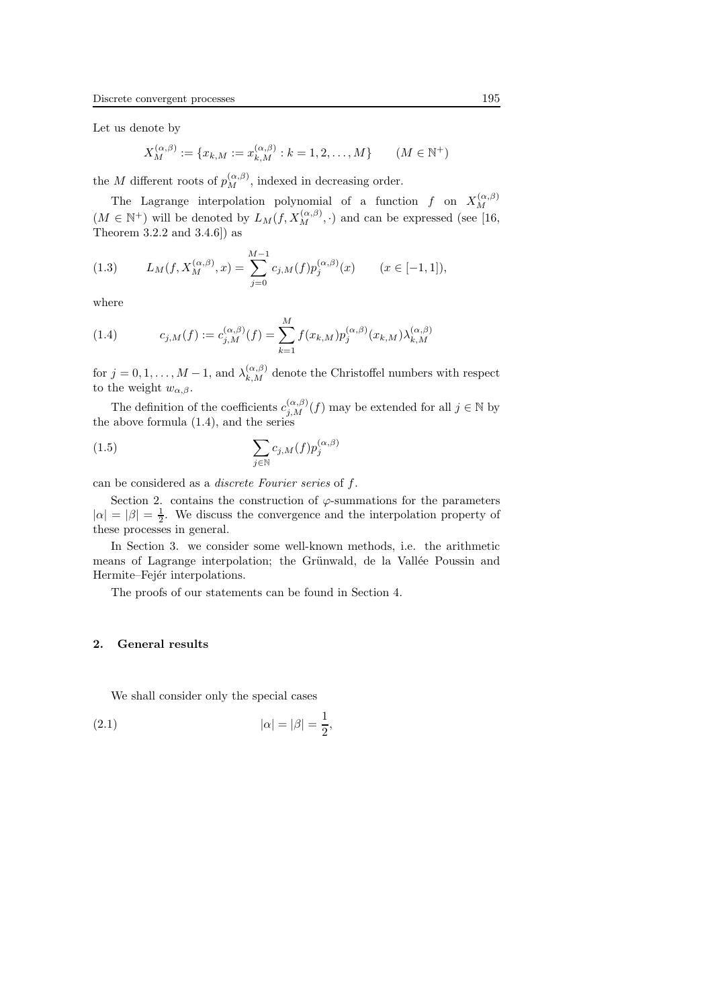Let us denote by

$$
X_M^{(\alpha,\beta)} := \{x_{k,M} := x_{k,M}^{(\alpha,\beta)} : k = 1,2,\ldots,M\} \qquad (M \in \mathbb{N}^+)
$$

the M different roots of  $p_M^{(\alpha,\beta)}$ , indexed in decreasing order.

The Lagrange interpolation polynomial of a function f on  $X_M^{(\alpha,\beta)}$ M  $(M \in \mathbb{N}^+)$  will be denoted by  $L_M(f, X_M^{(\alpha,\beta)}, \cdot)$  and can be expressed (see [16, Theorem 3.2.2 and 3.4.6]) as

(1.3) 
$$
L_M(f, X_M^{(\alpha,\beta)}, x) = \sum_{j=0}^{M-1} c_{j,M}(f) p_j^{(\alpha,\beta)}(x) \qquad (x \in [-1,1]),
$$

where

(1.4) 
$$
c_{j,M}(f) := c_{j,M}^{(\alpha,\beta)}(f) = \sum_{k=1}^{M} f(x_{k,M}) p_j^{(\alpha,\beta)}(x_{k,M}) \lambda_{k,M}^{(\alpha,\beta)}
$$

for  $j = 0, 1, ..., M - 1$ , and  $\lambda_{k,M}^{(\alpha,\beta)}$  denote the Christoffel numbers with respect to the weight  $w_{\alpha,\beta}$ .

The definition of the coefficients  $c_{j,M}^{(\alpha,\beta)}(f)$  may be extended for all  $j \in \mathbb{N}$  by the above formula (1.4), and the series

(1.5) 
$$
\sum_{j \in \mathbb{N}} c_{j,M}(f) p_j^{(\alpha,\beta)}
$$

can be considered as a discrete Fourier series of f.

Section 2. contains the construction of  $\varphi$ -summations for the parameters  $|\alpha| = |\beta| = \frac{1}{2}$ . We discuss the convergence and the interpolation property of these processes in general.

In Section 3. we consider some well-known methods, i.e. the arithmetic means of Lagrange interpolation; the Grünwald, de la Vallée Poussin and Hermite–Fejér interpolations.

The proofs of our statements can be found in Section 4.

#### 2. General results

We shall consider only the special cases

(2.1) 
$$
|\alpha| = |\beta| = \frac{1}{2}
$$
,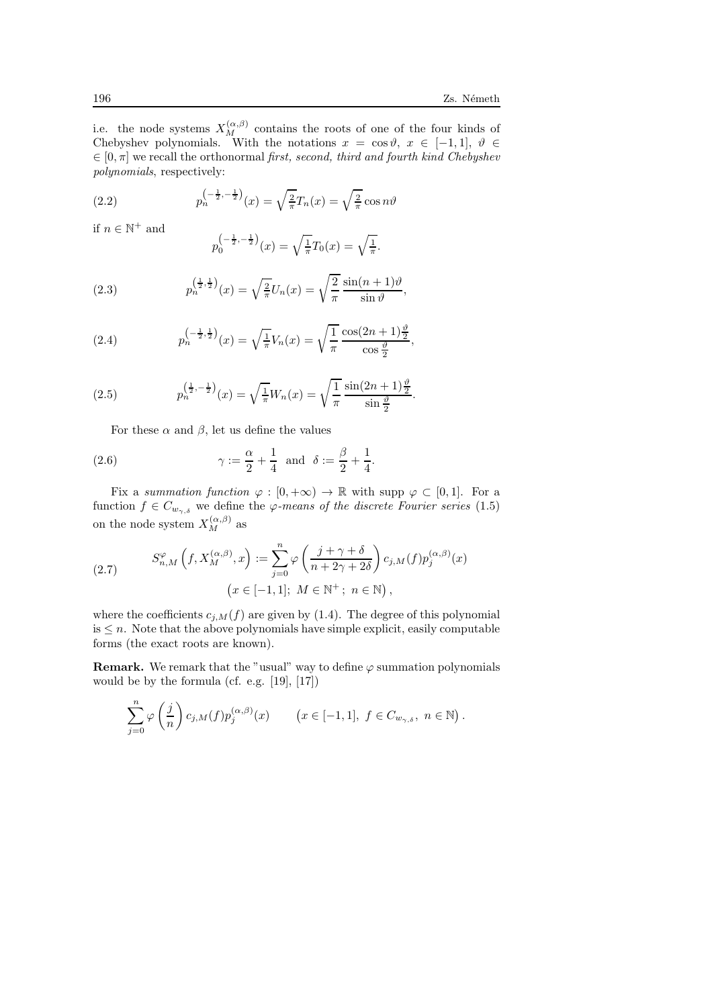i.e. the node systems  $X_M^{(\alpha,\beta)}$  contains the roots of one of the four kinds of Chebyshev polynomials. With the notations  $x = \cos \vartheta, x \in [-1,1], \vartheta \in$  $\in [0, \pi]$  we recall the orthonormal first, second, third and fourth kind Chebyshev polynomials, respectively:

(2.2) 
$$
p_n^{\left(-\frac{1}{2}, -\frac{1}{2}\right)}(x) = \sqrt{\frac{2}{\pi}}T_n(x) = \sqrt{\frac{2}{\pi}}\cos n\vartheta
$$

if  $n \in \mathbb{N}^+$  and

$$
p_0^{\left(-\frac{1}{2}, -\frac{1}{2}\right)}(x) = \sqrt{\frac{1}{\pi}}T_0(x) = \sqrt{\frac{1}{\pi}}.
$$

(2.3) 
$$
p_n^{\left(\frac{1}{2},\frac{1}{2}\right)}(x) = \sqrt{\frac{2}{\pi}}U_n(x) = \sqrt{\frac{2}{\pi}}\frac{\sin((n+1)\vartheta)}{\sin \vartheta},
$$

(2.4) 
$$
p_n^{\left(-\frac{1}{2},\frac{1}{2}\right)}(x) = \sqrt{\frac{1}{\pi}}V_n(x) = \sqrt{\frac{1}{\pi}}\frac{\cos(2n+1)\frac{\vartheta}{2}}{\cos\frac{\vartheta}{2}},
$$

(2.5) 
$$
p_n^{\left(\frac{1}{2}, -\frac{1}{2}\right)}(x) = \sqrt{\frac{1}{\pi}} W_n(x) = \sqrt{\frac{1}{\pi}} \frac{\sin(2n+1)\frac{\vartheta}{2}}{\sin\frac{\vartheta}{2}}.
$$

For these  $\alpha$  and  $\beta$ , let us define the values

(2.6) 
$$
\gamma := \frac{\alpha}{2} + \frac{1}{4}
$$
 and  $\delta := \frac{\beta}{2} + \frac{1}{4}$ .

Fix a summation function  $\varphi : [0, +\infty) \to \mathbb{R}$  with supp  $\varphi \subset [0, 1]$ . For a function  $f \in C_{w_{\gamma,\delta}}$  we define the  $\varphi$ -means of the discrete Fourier series (1.5) on the node system  $X_M^{(\alpha,\beta)}$  as

(2.7) 
$$
S_{n,M}^{\varphi}\left(f, X_M^{(\alpha,\beta)}, x\right) := \sum_{j=0}^n \varphi\left(\frac{j+\gamma+\delta}{n+2\gamma+2\delta}\right) c_{j,M}(f) p_j^{(\alpha,\beta)}(x)
$$

$$
\left(x \in [-1,1]; M \in \mathbb{N}^+; n \in \mathbb{N}\right),
$$

where the coefficients  $c_{j,M}(f)$  are given by (1.4). The degree of this polynomial  $is \leq n$ . Note that the above polynomials have simple explicit, easily computable forms (the exact roots are known).

**Remark.** We remark that the "usual" way to define  $\varphi$  summation polynomials would be by the formula (cf. e.g. [19], [17])

$$
\sum_{j=0}^{n} \varphi\left(\frac{j}{n}\right) c_{j,M}(f) p_j^{(\alpha,\beta)}(x) \qquad \left(x \in [-1,1], f \in C_{w_{\gamma,\delta}}, n \in \mathbb{N}\right).
$$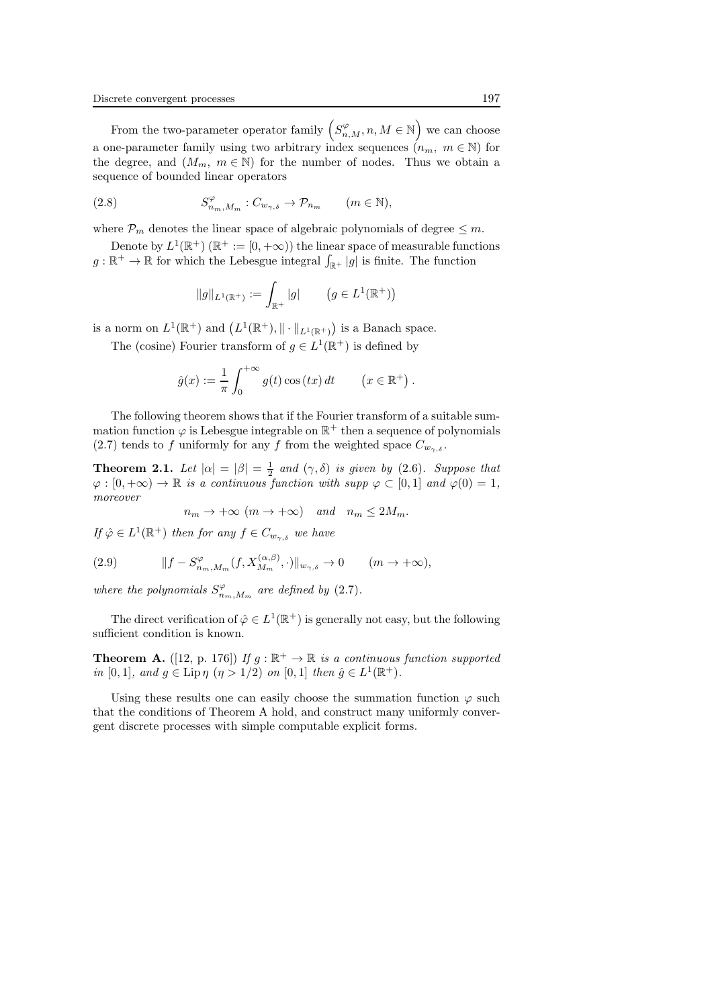From the two-parameter operator family  $(S_{n,M}^{\varphi}, n, M \in \mathbb{N})$  we can choose a one-parameter family using two arbitrary index sequences  $(n_m, m \in \mathbb{N})$  for the degree, and  $(M_m, m \in \mathbb{N})$  for the number of nodes. Thus we obtain a sequence of bounded linear operators

(2.8) 
$$
S_{n_m,M_m}^{\varphi}: C_{w_{\gamma,\delta}} \to \mathcal{P}_{n_m} \qquad (m \in \mathbb{N}),
$$

where  $P_m$  denotes the linear space of algebraic polynomials of degree  $\leq m$ .

Denote by  $L^1(\mathbb{R}^+)$  ( $\mathbb{R}^+ := [0, +\infty)$ ) the linear space of measurable functions  $g: \mathbb{R}^+ \to \mathbb{R}$  for which the Lebesgue integral  $\int_{\mathbb{R}^+} |g|$  is finite. The function

$$
||g||_{L^1(\mathbb{R}^+)} := \int_{\mathbb{R}^+} |g| \qquad (g \in L^1(\mathbb{R}^+))
$$

is a norm on  $L^1(\mathbb{R}^+)$  and  $(L^1(\mathbb{R}^+), \|\cdot\|_{L^1(\mathbb{R}^+)})$  is a Banach space.

The (cosine) Fourier transform of  $g \in L^1(\mathbb{R}^+)$  is defined by

$$
\hat{g}(x) := \frac{1}{\pi} \int_0^{+\infty} g(t) \cos(tx) dt \qquad (x \in \mathbb{R}^+).
$$

The following theorem shows that if the Fourier transform of a suitable summation function  $\varphi$  is Lebesgue integrable on  $\mathbb{R}^+$  then a sequence of polynomials (2.7) tends to f uniformly for any f from the weighted space  $C_{w_{\gamma,\delta}}$ .

**Theorem 2.1.** Let  $|\alpha| = |\beta| = \frac{1}{2}$  and  $(\gamma, \delta)$  is given by (2.6). Suppose that  $\varphi : [0, +\infty) \to \mathbb{R}$  is a continuous function with supp  $\varphi \subset [0, 1]$  and  $\varphi(0) = 1$ , moreover

$$
n_m \to +\infty
$$
  $(m \to +\infty)$  and  $n_m \leq 2M_m$ .

If  $\hat{\varphi} \in L^1(\mathbb{R}^+)$  then for any  $f \in C_{w_{\gamma,\delta}}$  we have

(2.9) 
$$
||f - S_{n_m,M_m}^{\varphi}(f, X_{M_m}^{(\alpha,\beta)}, \cdot)||_{w_{\gamma,\delta}} \to 0 \quad (m \to +\infty),
$$

where the polynomials  $S_{n_m,M_m}^{\varphi}$  are defined by (2.7).

The direct verification of  $\hat{\varphi} \in L^1(\mathbb{R}^+)$  is generally not easy, but the following sufficient condition is known.

**Theorem A.** ([12, p. 176]) If  $g : \mathbb{R}^+ \to \mathbb{R}$  is a continuous function supported in [0, 1], and  $g \in \text{Lip}\,\eta \, (\eta > 1/2)$  on [0, 1] then  $\hat{g} \in L^1(\mathbb{R}^+)$ .

Using these results one can easily choose the summation function  $\varphi$  such that the conditions of Theorem A hold, and construct many uniformly convergent discrete processes with simple computable explicit forms.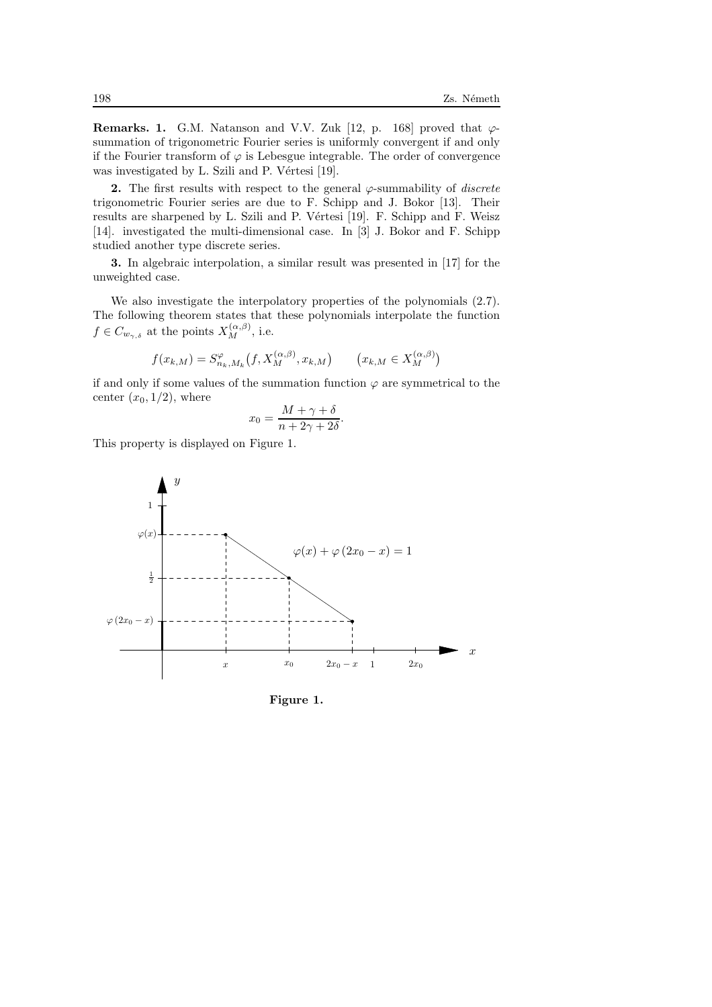**Remarks. 1.** G.M. Natanson and V.V. Zuk [12, p. 168] proved that  $\varphi$ summation of trigonometric Fourier series is uniformly convergent if and only if the Fourier transform of  $\varphi$  is Lebesgue integrable. The order of convergence was investigated by L. Szili and P. Vértesi [19].

2. The first results with respect to the general  $\varphi$ -summability of *discrete* trigonometric Fourier series are due to F. Schipp and J. Bokor [13]. Their results are sharpened by L. Szili and P. Vértesi [19]. F. Schipp and F. Weisz [14]. investigated the multi-dimensional case. In [3] J. Bokor and F. Schipp studied another type discrete series.

3. In algebraic interpolation, a similar result was presented in [17] for the unweighted case.

We also investigate the interpolatory properties of the polynomials (2.7). The following theorem states that these polynomials interpolate the function  $f \in C_{w_{\gamma,\delta}}$  at the points  $X_M^{(\alpha,\beta)}$ , i.e.

$$
f(x_{k,M}) = S_{n_k,M_k}^{\varphi}(f, X_M^{(\alpha,\beta)}, x_{k,M}) \qquad (x_{k,M} \in X_M^{(\alpha,\beta)})
$$

if and only if some values of the summation function  $\varphi$  are symmetrical to the center  $(x_0, 1/2)$ , where

$$
x_0 = \frac{M + \gamma + \delta}{n + 2\gamma + 2\delta}.
$$

This property is displayed on Figure 1.



Figure 1.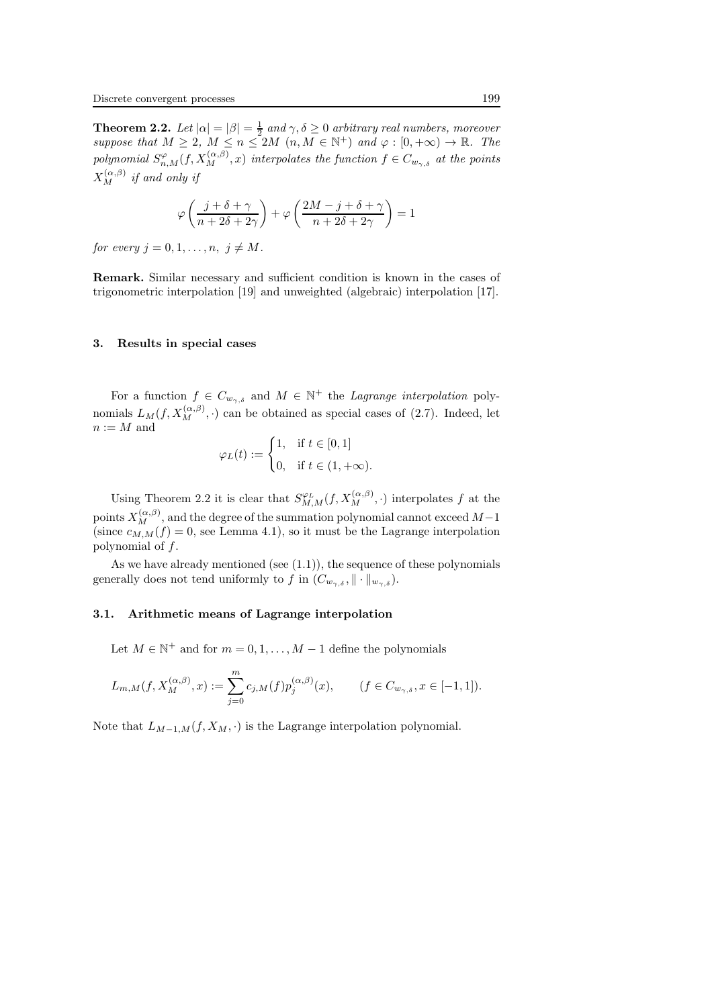**Theorem 2.2.** Let  $|\alpha| = |\beta| = \frac{1}{2}$  and  $\gamma, \delta \ge 0$  arbitrary real numbers, moreover suppose that  $M \geq 2$ ,  $M \leq n \leq 2M$   $(n, M \in \mathbb{N}^+)$  and  $\varphi : [0, +\infty) \to \mathbb{R}$ . The polynomial  $S^{\varphi}_{n,M}(f,X^{\left(\alpha,\beta\right)}_{M},x)$  interpolates the function  $f\in C_{w_{\gamma,\delta}}$  at the points  $X_M^{(\alpha,\beta)}$  if and only if

$$
\varphi\left(\frac{j+\delta+\gamma}{n+2\delta+2\gamma}\right)+\varphi\left(\frac{2M-j+\delta+\gamma}{n+2\delta+2\gamma}\right)=1
$$

for every  $j = 0, 1, \ldots, n, j \neq M$ .

Remark. Similar necessary and sufficient condition is known in the cases of trigonometric interpolation [19] and unweighted (algebraic) interpolation [17].

#### 3. Results in special cases

For a function  $f \in C_{w_{\gamma,\delta}}$  and  $M \in \mathbb{N}^+$  the *Lagrange interpolation* polynomials  $L_M(f, X_M^{(\alpha,\beta)}, \cdot)$  can be obtained as special cases of (2.7). Indeed, let  $n := M$  and

$$
\varphi_L(t) := \begin{cases} 1, & \text{if } t \in [0, 1] \\ 0, & \text{if } t \in (1, +\infty). \end{cases}
$$

Using Theorem 2.2 it is clear that  $S^{\varphi_L}_{M,M}(f,X_M^{(\alpha,\beta)},\cdot)$  interpolates f at the points  $X_M^{(\alpha,\beta)},$  and the degree of the summation polynomial cannot exceed  $M-1$ (since  $c_{M,M}(f) = 0$ , see Lemma 4.1), so it must be the Lagrange interpolation polynomial of f.

As we have already mentioned (see  $(1.1)$ ), the sequence of these polynomials generally does not tend uniformly to f in  $(C_{w_{\gamma,\delta}}, \|\cdot\|_{w_{\gamma,\delta}})$ .

#### 3.1. Arithmetic means of Lagrange interpolation

Let  $M \in \mathbb{N}^+$  and for  $m = 0, 1, ..., M - 1$  define the polynomials

$$
L_{m,M}(f, X_M^{(\alpha,\beta)}, x) := \sum_{j=0}^m c_{j,M}(f) p_j^{(\alpha,\beta)}(x), \qquad (f \in C_{w_{\gamma,\delta}}, x \in [-1,1]).
$$

Note that  $L_{M-1,M}(f, X_M, \cdot)$  is the Lagrange interpolation polynomial.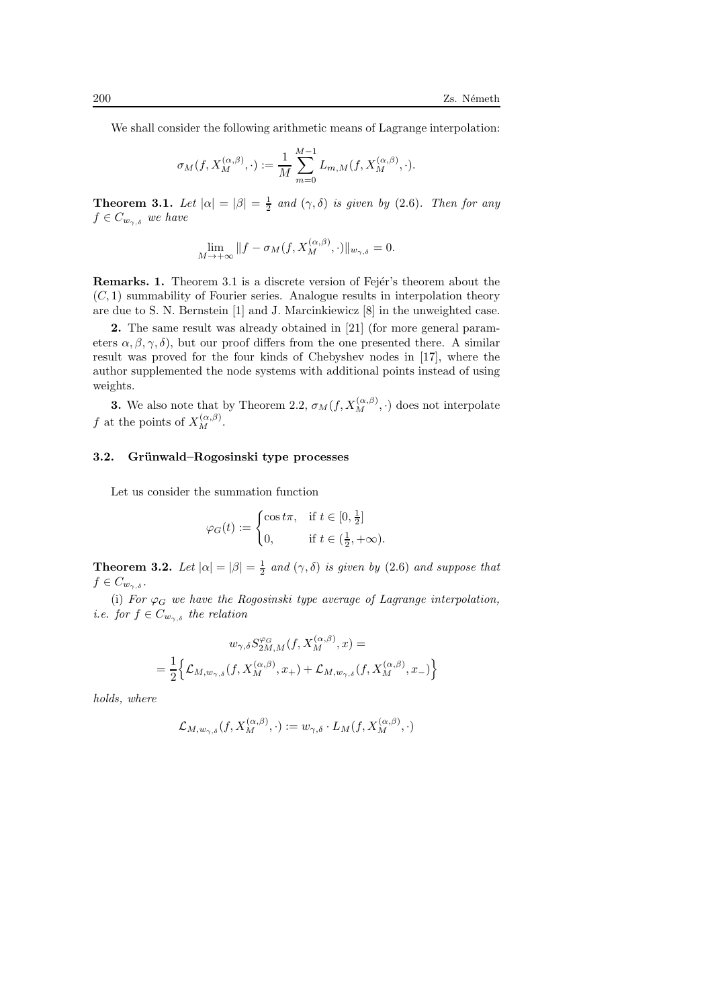We shall consider the following arithmetic means of Lagrange interpolation:

$$
\sigma_M(f,X_M^{(\alpha,\beta)},\cdot):=\frac{1}{M}\sum_{m=0}^{M-1}L_{m,M}(f,X_M^{(\alpha,\beta)},\cdot).
$$

**Theorem 3.1.** Let  $|\alpha| = |\beta| = \frac{1}{2}$  and  $(\gamma, \delta)$  is given by (2.6). Then for any  $f \in C_{w_{\gamma,\delta}}$  we have

$$
\lim_{M \to +\infty} \|f - \sigma_M(f, X_M^{(\alpha,\beta)}, \cdot)\|_{w_{\gamma,\delta}} = 0.
$$

**Remarks. 1.** Theorem 3.1 is a discrete version of Fejer's theorem about the  $(C, 1)$  summability of Fourier series. Analogue results in interpolation theory are due to S. N. Bernstein [1] and J. Marcinkiewicz [8] in the unweighted case.

2. The same result was already obtained in [21] (for more general parameters  $\alpha, \beta, \gamma, \delta$ , but our proof differs from the one presented there. A similar result was proved for the four kinds of Chebyshev nodes in [17], where the author supplemented the node systems with additional points instead of using weights.

**3.** We also note that by Theorem 2.2,  $\sigma_M(f, X_M^{(\alpha,\beta)}, \cdot)$  does not interpolate f at the points of  $X_M^{(\alpha,\beta)}$ .

## 3.2. Grünwald–Rogosinski type processes

Let us consider the summation function

$$
\varphi_G(t) := \begin{cases} \cos t\pi, & \text{if } t \in [0, \frac{1}{2}] \\ 0, & \text{if } t \in (\frac{1}{2}, +\infty). \end{cases}
$$

**Theorem 3.2.** Let  $|\alpha| = |\beta| = \frac{1}{2}$  and  $(\gamma, \delta)$  is given by (2.6) and suppose that  $f \in C_{w_{\gamma,\delta}}$ .

(i) For  $\varphi_G$  we have the Rogosinski type average of Lagrange interpolation, *i.e.* for  $f \in C_{w_{\gamma,\delta}}$  the relation

$$
\begin{aligned} w_{\gamma,\delta}S_{2M,M}^{\varphi_G}(f,X_M^{(\alpha,\beta)},x)= \\ =\frac{1}{2}\Big\{\mathcal{L}_{M,w_{\gamma,\delta}}(f,X_M^{(\alpha,\beta)},x_+)+\mathcal{L}_{M,w_{\gamma,\delta}}(f,X_M^{(\alpha,\beta)},x_-)\Big\} \end{aligned}
$$

holds, where

$$
\mathcal{L}_{M,w_{\gamma,\delta}}(f,X_M^{(\alpha,\beta)},\cdot) := w_{\gamma,\delta} \cdot L_M(f,X_M^{(\alpha,\beta)},\cdot)
$$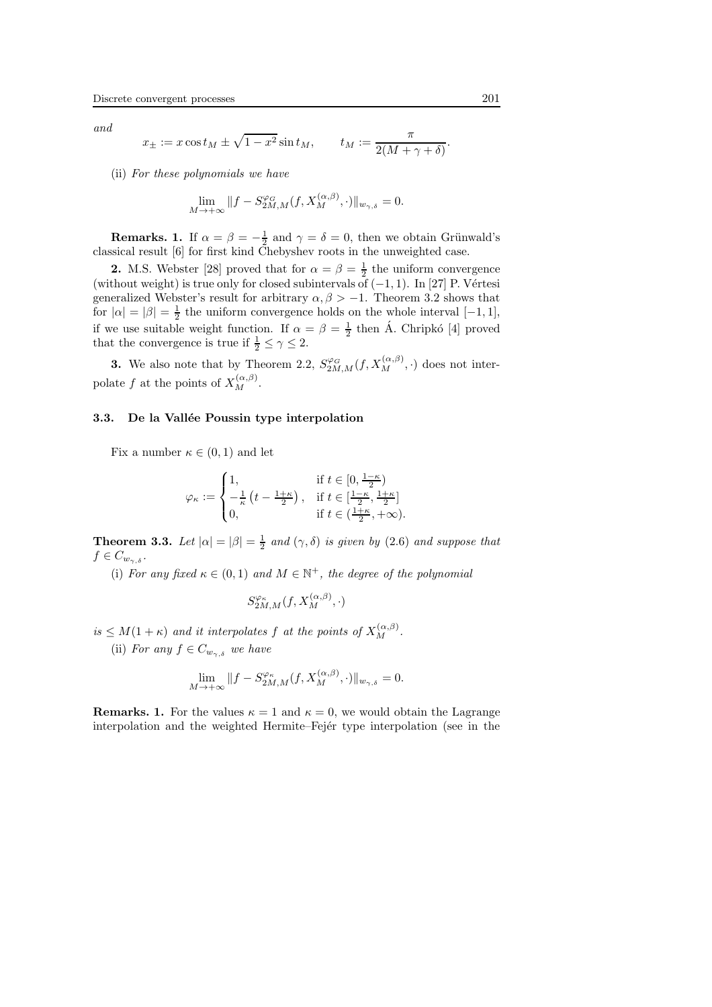and

$$
x_{\pm} := x \cos t_M \pm \sqrt{1 - x^2} \sin t_M,
$$
  $t_M := \frac{\pi}{2(M + \gamma + \delta)}.$ 

(ii) For these polynomials we have

$$
\lim_{M \to +\infty} \|f - S_{2M,M}^{\varphi_G}(f, X_M^{(\alpha,\beta)}, \cdot)\|_{w_{\gamma,\delta}} = 0.
$$

**Remarks.** 1. If  $\alpha = \beta = -\frac{1}{2}$  and  $\gamma = \delta = 0$ , then we obtain Grünwald's classical result [6] for first kind Chebyshev roots in the unweighted case.

**2.** M.S. Webster [28] proved that for  $\alpha = \beta = \frac{1}{2}$  the uniform convergence (without weight) is true only for closed subintervals of  $(-1, 1)$ . In [27] P. Vértesi generalized Webster's result for arbitrary  $\alpha, \beta > -1$ . Theorem 3.2 shows that for  $|\alpha| = |\beta| = \frac{1}{2}$  the uniform convergence holds on the whole interval  $[-1, 1]$ , if we use suitable weight function. If  $\alpha = \beta = \frac{1}{2}$  then A. Chripko [4] proved that the convergence is true if  $\frac{1}{2} \leq \gamma \leq 2$ .

**3.** We also note that by Theorem 2.2,  $S_{2M,M}^{\varphi_G}(f, X_M^{(\alpha,\beta)},\cdot)$  does not interpolate f at the points of  $X_M^{(\alpha,\beta)}$ .

#### 3.3. De la Vallée Poussin type interpolation

Fix a number  $\kappa \in (0,1)$  and let

$$
\varphi_{\kappa} := \begin{cases} 1, & \text{if } t \in \left[0, \frac{1-\kappa}{2}\right) \\ -\frac{1}{\kappa} \left(t - \frac{1+\kappa}{2}\right), & \text{if } t \in \left[\frac{1-\kappa}{2}, \frac{1+\kappa}{2}\right] \\ 0, & \text{if } t \in \left(\frac{1+\kappa}{2}, +\infty\right). \end{cases}
$$

**Theorem 3.3.** Let  $|\alpha| = |\beta| = \frac{1}{2}$  and  $(\gamma, \delta)$  is given by (2.6) and suppose that  $f \in C_{w_{\gamma,\delta}}$ .

(i) For any fixed  $\kappa \in (0,1)$  and  $M \in \mathbb{N}^+$ , the degree of the polynomial

$$
S^{\varphi_\kappa}_{2M,M}(f,X_M^{(\alpha,\beta)},\cdot)
$$

 $is \leq M(1+\kappa)$  and it interpolates f at the points of  $X_M^{(\alpha,\beta)}$ .

(ii) For any  $f \in C_{w_{\gamma,\delta}}$  we have

$$
\lim_{M \to +\infty} \|f - S_{2M,M}^{\varphi_{\kappa}}(f, X_M^{(\alpha,\beta)}, \cdot)\|_{w_{\gamma,\delta}} = 0.
$$

**Remarks. 1.** For the values  $\kappa = 1$  and  $\kappa = 0$ , we would obtain the Lagrange interpolation and the weighted Hermite–Fejer type interpolation (see in the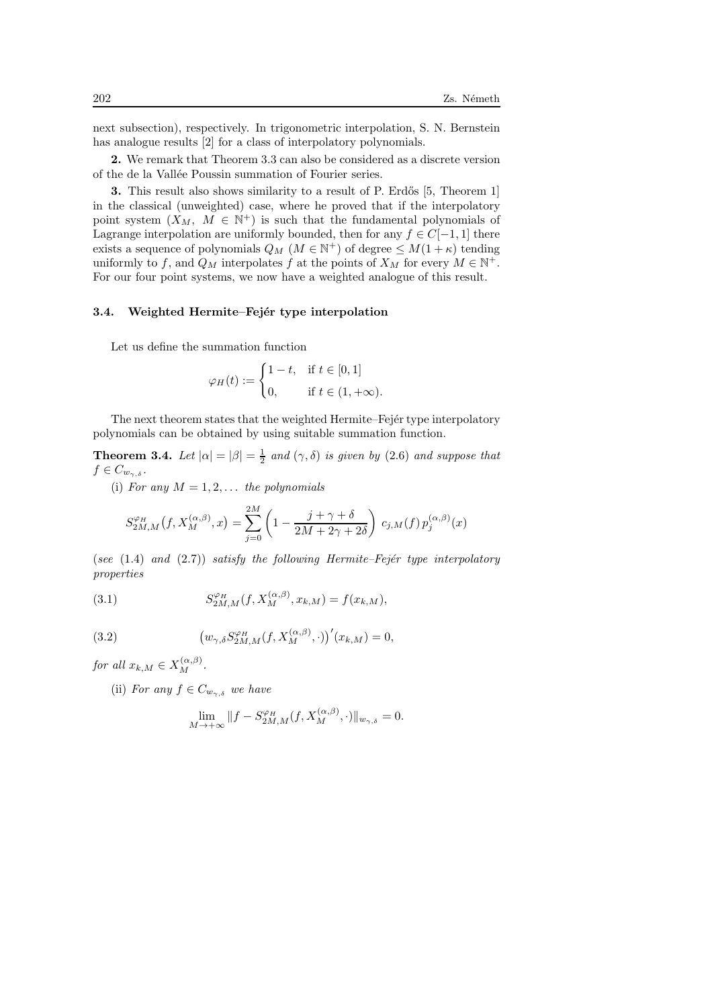next subsection), respectively. In trigonometric interpolation, S. N. Bernstein has analogue results [2] for a class of interpolatory polynomials.

2. We remark that Theorem 3.3 can also be considered as a discrete version of the de la Vallée Poussin summation of Fourier series.

3. This result also shows similarity to a result of P. Erdős [5, Theorem 1] in the classical (unweighted) case, where he proved that if the interpolatory point system  $(X_M, M \in \mathbb{N}^+)$  is such that the fundamental polynomials of Lagrange interpolation are uniformly bounded, then for any  $f \in C[-1, 1]$  there exists a sequence of polynomials  $Q_M$   $(M \in \mathbb{N}^+)$  of degree  $\leq M(1 + \kappa)$  tending uniformly to f, and  $Q_M$  interpolates f at the points of  $X_M$  for every  $M \in \mathbb{N}^+$ . For our four point systems, we now have a weighted analogue of this result.

#### 3.4. Weighted Hermite–Fejér type interpolation

Let us define the summation function

$$
\varphi_H(t) := \begin{cases} 1 - t, & \text{if } t \in [0, 1] \\ 0, & \text{if } t \in (1, +\infty). \end{cases}
$$

The next theorem states that the weighted Hermite–Fejer type interpolatory polynomials can be obtained by using suitable summation function.

**Theorem 3.4.** Let  $|\alpha| = |\beta| = \frac{1}{2}$  and  $(\gamma, \delta)$  is given by (2.6) and suppose that  $f \in C_{w_{\gamma,\delta}}$ .

(i) For any  $M = 1, 2, \ldots$  the polynomials

$$
S_{2M,M}^{\varphi_H}(f, X_M^{(\alpha,\beta)}, x) = \sum_{j=0}^{2M} \left(1 - \frac{j + \gamma + \delta}{2M + 2\gamma + 2\delta}\right) c_{j,M}(f) p_j^{(\alpha,\beta)}(x)
$$

(see  $(1.4)$  and  $(2.7)$ ) satisfy the following Hermite–Fejér type interpolatory properties

(3.1) 
$$
S_{2M,M}^{\varphi_H}(f, X_M^{(\alpha,\beta)}, x_{k,M}) = f(x_{k,M}),
$$

(3.2) 
$$
(w_{\gamma,\delta} S_{2M,M}^{\varphi_H}(f, X_M^{(\alpha,\beta)},\cdot))'(x_{k,M}) = 0,
$$

for all  $x_{k,M} \in X_M^{(\alpha,\beta)}$ .

(ii) For any  $f \in C_{w_{\gamma,\delta}}$  we have

$$
\lim_{M \to +\infty} \|f - S_{2M,M}^{\varphi_H}(f, X_M^{(\alpha,\beta)}, \cdot)\|_{w_{\gamma,\delta}} = 0.
$$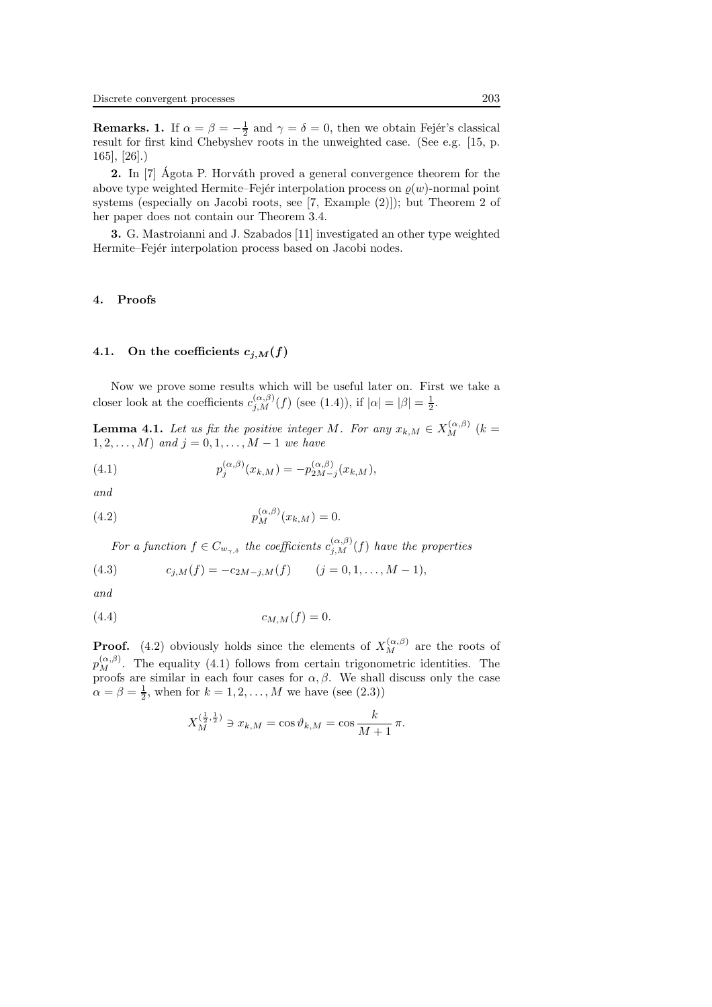**Remarks. 1.** If  $\alpha = \beta = -\frac{1}{2}$  and  $\gamma = \delta = 0$ , then we obtain Fejér's classical result for first kind Chebyshev roots in the unweighted case. (See e.g. [15, p. 165], [26].)

**2.** In [7] Agota P. Horváth proved a general convergence theorem for the above type weighted Hermite–Fejér interpolation process on  $\rho(w)$ -normal point systems (especially on Jacobi roots, see [7, Example (2)]); but Theorem 2 of her paper does not contain our Theorem 3.4.

3. G. Mastroianni and J. Szabados [11] investigated an other type weighted Hermite–Fejer interpolation process based on Jacobi nodes.

#### 4. Proofs

#### 4.1. On the coefficients  $c_{j,M}(f)$

Now we prove some results which will be useful later on. First we take a closer look at the coefficients  $c_{j,M}^{(\alpha,\beta)}(f)$  (see (1.4)), if  $|\alpha|=|\beta|=\frac{1}{2}$ .

**Lemma 4.1.** Let us fix the positive integer M. For any  $x_{k,M} \in X_M^{(\alpha,\beta)}$  (k =  $1, 2, \ldots, M)$  and  $j = 0, 1, \ldots, M - 1$  we have

(4.1) 
$$
p_j^{(\alpha,\beta)}(x_{k,M}) = -p_{2M-j}^{(\alpha,\beta)}(x_{k,M}),
$$

and

(4.2) 
$$
p_M^{(\alpha,\beta)}(x_{k,M}) = 0.
$$

For a function  $f \in C_{w_{\gamma,\delta}}$  the coefficients  $c_{j,M}^{(\alpha,\beta)}(f)$  have the properties

(4.3) 
$$
c_{j,M}(f) = -c_{2M-j,M}(f) \qquad (j = 0, 1, \dots, M-1),
$$

and

$$
(4.4) \t\t c_{M,M}(f) = 0.
$$

**Proof.** (4.2) obviously holds since the elements of  $X_M^{(\alpha,\beta)}$  are the roots of  $p_M^{(\alpha,\beta)}$ . The equality (4.1) follows from certain trigonometric identities. The proofs are similar in each four cases for  $\alpha$ ,  $\beta$ . We shall discuss only the case  $\alpha = \beta = \frac{1}{2}$ , when for  $k = 1, 2, ..., M$  we have (see (2.3))

$$
X_M^{(\frac{1}{2},\frac{1}{2})} \ni x_{k,M} = \cos \vartheta_{k,M} = \cos \frac{k}{M+1} \pi.
$$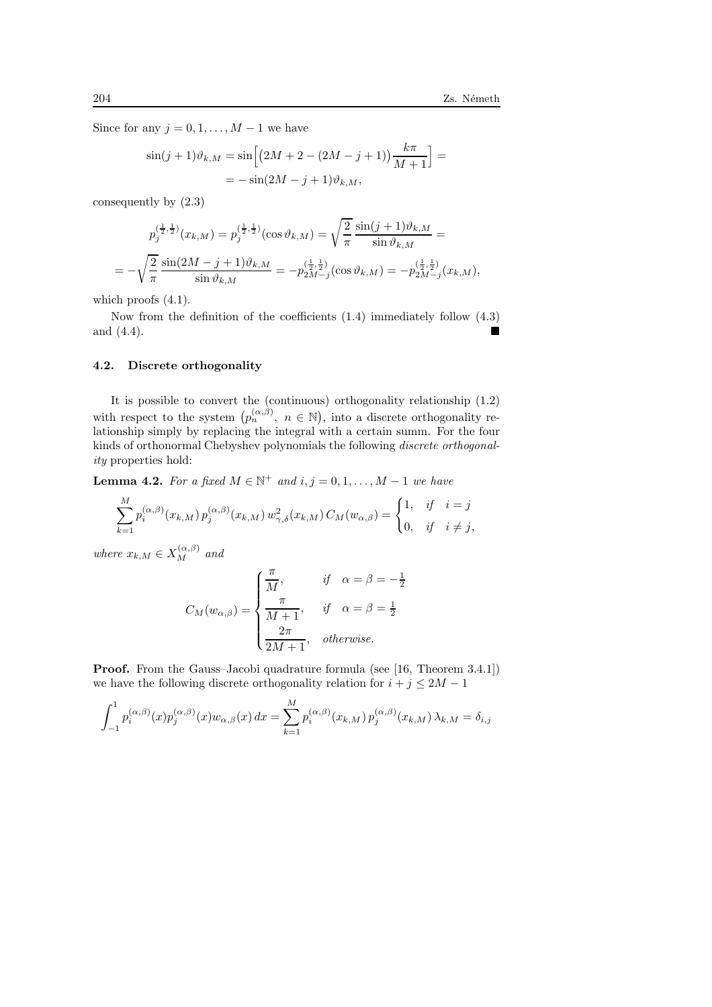Since for any  $j = 0, 1, \ldots, M - 1$  we have

$$
\sin(j+1)\vartheta_{k,M} = \sin\left[\left(2M+2-(2M-j+1)\right)\frac{k\pi}{M+1}\right] =
$$
  
=  $-\sin(2M-j+1)\vartheta_{k,M}$ ,

consequently by (2.3)

$$
p_j^{(\frac{1}{2},\frac{1}{2})}(x_{k,M}) = p_j^{(\frac{1}{2},\frac{1}{2})}(\cos \vartheta_{k,M}) = \sqrt{\frac{2}{\pi}} \frac{\sin(j+1)\vartheta_{k,M}}{\sin \vartheta_{k,M}} =
$$
  
=  $-\sqrt{\frac{2}{\pi}} \frac{\sin(2M-j+1)\vartheta_{k,M}}{\sin \vartheta_{k,M}} = -p_{2M-j}^{(\frac{1}{2},\frac{1}{2})}(\cos \vartheta_{k,M}) = -p_{2M-j}^{(\frac{1}{2},\frac{1}{2})}(x_{k,M}),$ 

which proofs  $(4.1)$ .

Now from the definition of the coefficients (1.4) immediately follow (4.3) and (4.4).

#### 4.2. Discrete orthogonality

It is possible to convert the (continuous) orthogonality relationship (1.2) with respect to the system  $(p_n^{(\alpha,\beta)}, n \in \mathbb{N})$ , into a discrete orthogonality relationship simply by replacing the integral with a certain summ. For the four kinds of orthonormal Chebyshev polynomials the following discrete orthogonality properties hold:

**Lemma 4.2.** For a fixed  $M \in \mathbb{N}^+$  and  $i, j = 0, 1, ..., M - 1$  we have

$$
\sum_{k=1}^{M} p_i^{(\alpha,\beta)}(x_{k,M}) p_j^{(\alpha,\beta)}(x_{k,M}) w_{\gamma,\delta}^2(x_{k,M}) C_M(w_{\alpha,\beta}) = \begin{cases} 1, & \text{if } i = j \\ 0, & \text{if } i \neq j, \end{cases}
$$

where  $x_{k,M} \in X_M^{(\alpha,\beta)}$  and

$$
C_M(w_{\alpha,\beta}) = \begin{cases} \frac{\pi}{M}, & \text{if } \alpha = \beta = -\\ \frac{\pi}{M+1}, & \text{if } \alpha = \beta = \frac{1}{2} \\ \frac{2\pi}{2M+1}, & \text{otherwise.} \end{cases}
$$

 $\frac{1}{2}$ 

Proof. From the Gauss–Jacobi quadrature formula (see [16, Theorem 3.4.1]) we have the following discrete orthogonality relation for  $i + j \leq 2M - 1$ 

$$
\int_{-1}^{1} p_i^{(\alpha,\beta)}(x) p_j^{(\alpha,\beta)}(x) w_{\alpha,\beta}(x) dx = \sum_{k=1}^{M} p_i^{(\alpha,\beta)}(x_{k,M}) p_j^{(\alpha,\beta)}(x_{k,M}) \lambda_{k,M} = \delta_{i,j}
$$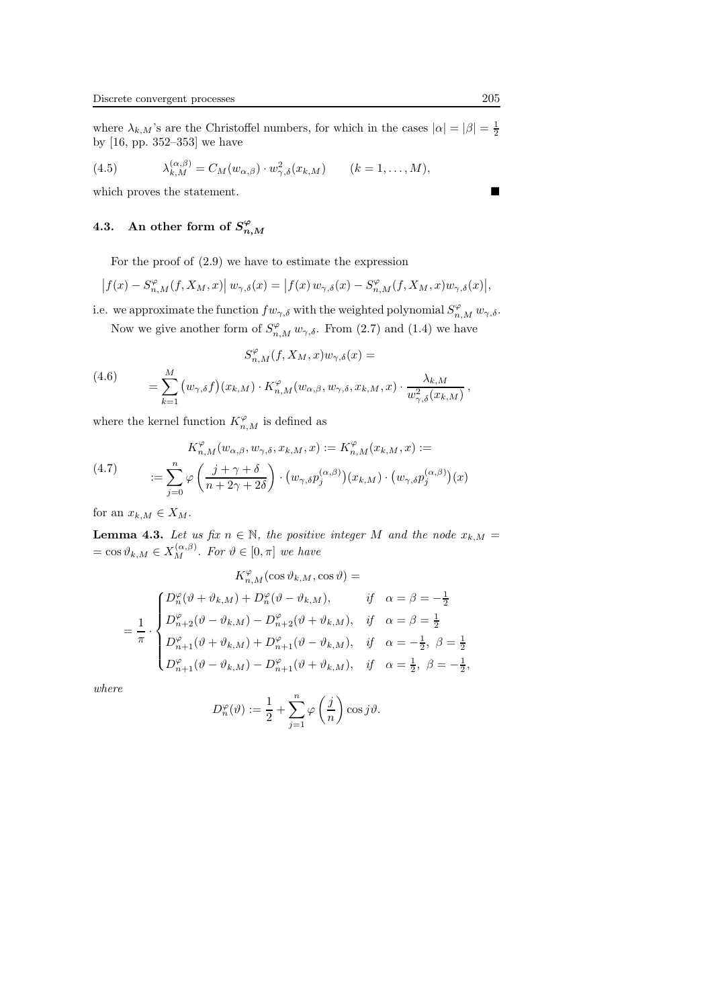where  $\lambda_{k,M}$ 's are the Christoffel numbers, for which in the cases  $|\alpha| = |\beta| = \frac{1}{2}$ by [16, pp. 352–353] we have

(4.5) 
$$
\lambda_{k,M}^{(\alpha,\beta)} = C_M(w_{\alpha,\beta}) \cdot w_{\gamma,\delta}^2(x_{k,M}) \qquad (k = 1,\ldots,M),
$$

which proves the statement.

## 4.3. An other form of  $S_{n,M}^{\varphi}$

For the proof of (2.9) we have to estimate the expression

$$
\left|f(x)-S_{n,M}^{\varphi}(f,X_M,x)\right|w_{\gamma,\delta}(x)=\left|f(x)\,w_{\gamma,\delta}(x)-S_{n,M}^{\varphi}(f,X_M,x)w_{\gamma,\delta}(x)\right|,
$$

i.e. we approximate the function  $fw_{\gamma,\delta}$  with the weighted polynomial  $S_{n,M}^{\varphi} w_{\gamma,\delta}$ .

Now we give another form of  $S_{n,M}^{\varphi} w_{\gamma,\delta}$ . From (2.7) and (1.4) we have

(4.6)  

$$
S_{n,M}^{\varphi}(f, X_M, x)w_{\gamma,\delta}(x) =
$$

$$
= \sum_{k=1}^{M} (w_{\gamma,\delta}f)(x_{k,M}) \cdot K_{n,M}^{\varphi}(w_{\alpha,\beta}, w_{\gamma,\delta}, x_{k,M}, x) \cdot \frac{\lambda_{k,M}}{w_{\gamma,\delta}^2(x_{k,M})},
$$

where the kernel function  $K_{n,M}^{\varphi}$  is defined as

(4.7) 
$$
K_{n,M}^{\varphi}(w_{\alpha,\beta},w_{\gamma,\delta},x_{k,M},x) := K_{n,M}^{\varphi}(x_{k,M},x) :=
$$

$$
:= \sum_{j=0}^{n} \varphi\left(\frac{j+\gamma+\delta}{n+2\gamma+2\delta}\right) \cdot \left(w_{\gamma,\delta}p_j^{(\alpha,\beta)}\right)(x_{k,M}) \cdot \left(w_{\gamma,\delta}p_j^{(\alpha,\beta)}\right)(x)
$$

for an  $x_{k,M} \in X_M$ .

**Lemma 4.3.** Let us fix  $n \in \mathbb{N}$ , the positive integer M and the node  $x_{k,M}$  =  $=\cos \vartheta_{k,M} \in X_M^{(\alpha,\beta)}$ . For  $\vartheta \in [0,\pi]$  we have

$$
K_{n,M}^{\varphi}(\cos\vartheta_{k,M},\cos\vartheta) =
$$
  
= 
$$
\frac{1}{\pi} \cdot \begin{cases} D_n^{\varphi}(\vartheta + \vartheta_{k,M}) + D_n^{\varphi}(\vartheta - \vartheta_{k,M}), & \text{if } \alpha = \beta = -\frac{1}{2} \\ D_{n+2}^{\varphi}(\vartheta - \vartheta_{k,M}) - D_{n+2}^{\varphi}(\vartheta + \vartheta_{k,M}), & \text{if } \alpha = \beta = \frac{1}{2} \\ D_{n+1}^{\varphi}(\vartheta + \vartheta_{k,M}) + D_{n+1}^{\varphi}(\vartheta - \vartheta_{k,M}), & \text{if } \alpha = -\frac{1}{2}, \beta = \frac{1}{2} \\ D_{n+1}^{\varphi}(\vartheta - \vartheta_{k,M}) - D_{n+1}^{\varphi}(\vartheta + \vartheta_{k,M}), & \text{if } \alpha = \frac{1}{2}, \beta = -\frac{1}{2}, \end{cases}
$$

where

$$
D_n^{\varphi}(\vartheta):=\frac{1}{2}+\sum_{j=1}^n\varphi\left(\frac{j}{n}\right)\cos j\vartheta.
$$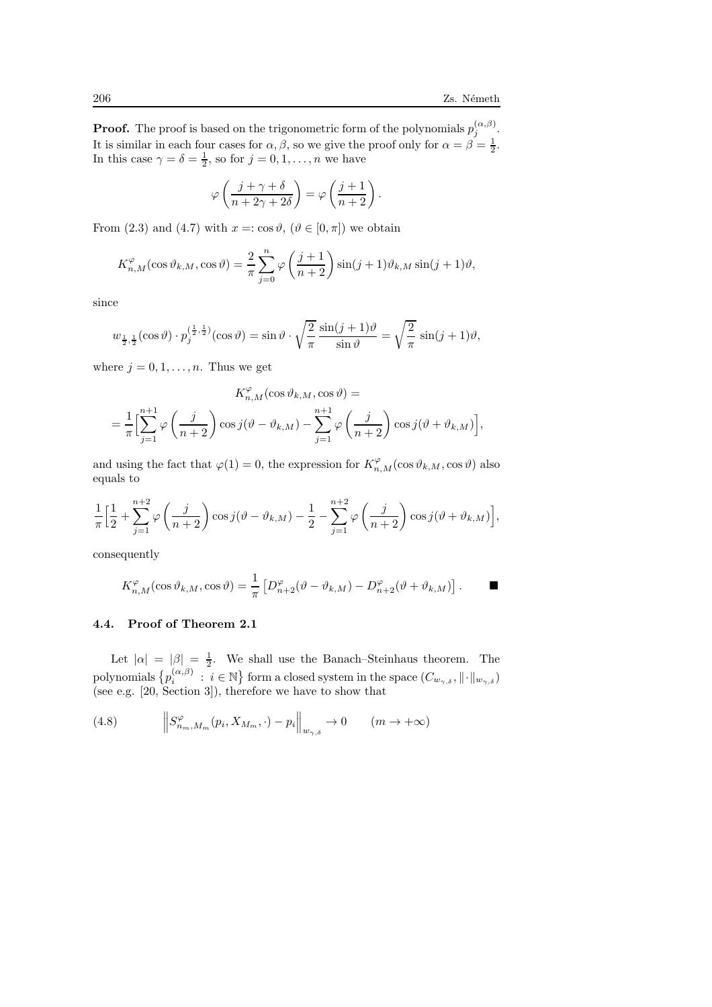**Proof.** The proof is based on the trigonometric form of the polynomials  $p_j^{(\alpha,\beta)}$ . It is similar in each four cases for  $\alpha, \beta$ , so we give the proof only for  $\alpha = \beta = \frac{1}{2}$ . In this case  $\gamma = \delta = \frac{1}{2}$ , so for  $j = 0, 1, \ldots, n$  we have

$$
\varphi\left(\frac{j+\gamma+\delta}{n+2\gamma+2\delta}\right) = \varphi\left(\frac{j+1}{n+2}\right).
$$

From (2.3) and (4.7) with  $x = \cos \vartheta$ ,  $(\vartheta \in [0, \pi])$  we obtain

$$
K_{n,M}^{\varphi}(\cos\vartheta_{k,M},\cos\vartheta) = \frac{2}{\pi}\sum_{j=0}^{n}\varphi\left(\frac{j+1}{n+2}\right)\sin(j+1)\vartheta_{k,M}\sin(j+1)\vartheta,
$$

since

$$
w_{\frac{1}{2},\frac{1}{2}}(\cos\vartheta)\cdot p_j^{(\frac{1}{2},\frac{1}{2})}(\cos\vartheta) = \sin\vartheta\cdot\sqrt{\frac{2}{\pi}}\frac{\sin(j+1)\vartheta}{\sin\vartheta} = \sqrt{\frac{2}{\pi}}\sin(j+1)\vartheta,
$$

where  $j = 0, 1, \ldots, n$ . Thus we get

$$
K_{n,M}^{\varphi}(\cos\vartheta_{k,M},\cos\vartheta) =
$$
  
=  $\frac{1}{\pi} \Biggl[ \sum_{j=1}^{n+1} \varphi\left(\frac{j}{n+2}\right) \cos j(\vartheta - \vartheta_{k,M}) - \sum_{j=1}^{n+1} \varphi\left(\frac{j}{n+2}\right) \cos j(\vartheta + \vartheta_{k,M}) \Biggr],$ 

and using the fact that  $\varphi(1) = 0$ , the expression for  $K_{n,M}^{\varphi}(\cos \vartheta_{k,M}, \cos \vartheta)$  also equals to

$$
\frac{1}{\pi} \Big[ \frac{1}{2} + \sum_{j=1}^{n+2} \varphi\left(\frac{j}{n+2}\right) \cos j(\vartheta - \vartheta_{k,M}) - \frac{1}{2} - \sum_{j=1}^{n+2} \varphi\left(\frac{j}{n+2}\right) \cos j(\vartheta + \vartheta_{k,M}) \Big],
$$

consequently

$$
K_{n,M}^{\varphi}(\cos\vartheta_{k,M},\cos\vartheta) = \frac{1}{\pi} \left[ D_{n+2}^{\varphi}(\vartheta - \vartheta_{k,M}) - D_{n+2}^{\varphi}(\vartheta + \vartheta_{k,M}) \right].
$$

## 4.4. Proof of Theorem 2.1

Let  $|\alpha| = |\beta| = \frac{1}{2}$ . We shall use the Banach–Steinhaus theorem. The polynomials  $\{p_i^{(\alpha,\beta)} \ : \ i\in\mathbb{N}\}$  form a closed system in the space  $(C_{w_\gamma,\delta},\|\cdot\|_{w_{\gamma,\delta}})$ (see e.g. [20, Section 3]), therefore we have to show that

(4.8) 
$$
\left\|S_{n_m,M_m}^{\varphi}(p_i,X_{M_m},\cdot)-p_i\right\|_{w_{\gamma,\delta}}\to 0 \qquad (m\to+\infty)
$$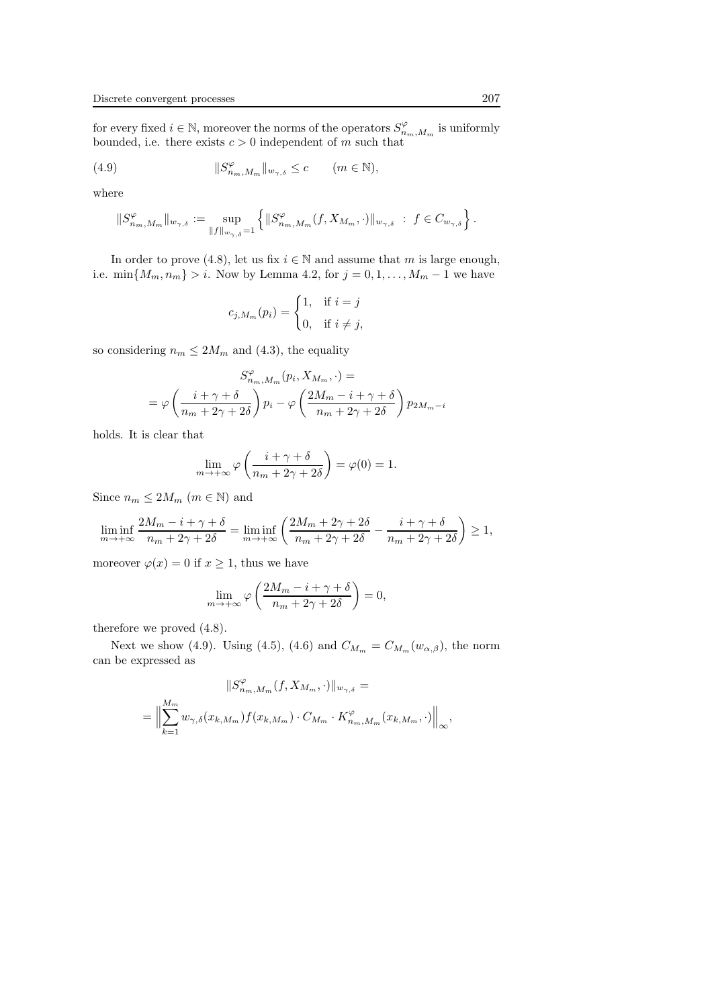for every fixed  $i \in \mathbb{N}$ , moreover the norms of the operators  $S^{\varphi}_{n_m,M_m}$  is uniformly bounded, i.e. there exists  $c > 0$  independent of m such that

(4.9) 
$$
||S_{n_m,M_m}^{\varphi}||_{w_{\gamma,\delta}} \leq c \qquad (m \in \mathbb{N}),
$$

where

$$
\|S_{n_m,M_m}^{\varphi}\|_{w_{\gamma,\delta}} := \sup_{\|f\|_{w_{\gamma,\delta}}=1} \left\{ \|S_{n_m,M_m}^{\varphi}(f,X_{M_m},\cdot)\|_{w_{\gamma,\delta}} \ : \ f \in C_{w_{\gamma,\delta}} \right\}.
$$

In order to prove (4.8), let us fix  $i \in \mathbb{N}$  and assume that m is large enough, i.e. min ${M_m, n_m} > i$ . Now by Lemma 4.2, for  $j = 0, 1, ..., M_m - 1$  we have

$$
c_{j,M_m}(p_i) = \begin{cases} 1, & \text{if } i = j \\ 0, & \text{if } i \neq j, \end{cases}
$$

so considering  $n_m \leq 2M_m$  and (4.3), the equality

$$
S_{n_m,M_m}^{\varphi}(p_i, X_{M_m}, \cdot) =
$$
  
=  $\varphi \left( \frac{i + \gamma + \delta}{n_m + 2\gamma + 2\delta} \right) p_i - \varphi \left( \frac{2M_m - i + \gamma + \delta}{n_m + 2\gamma + 2\delta} \right) p_{2M_m - i}$ 

holds. It is clear that

$$
\lim_{m \to +\infty} \varphi\left(\frac{i + \gamma + \delta}{n_m + 2\gamma + 2\delta}\right) = \varphi(0) = 1.
$$

Since  $n_m \leq 2M_m$  ( $m \in \mathbb{N}$ ) and

$$
\liminf_{m \to +\infty} \frac{2M_m - i + \gamma + \delta}{n_m + 2\gamma + 2\delta} = \liminf_{m \to +\infty} \left( \frac{2M_m + 2\gamma + 2\delta}{n_m + 2\gamma + 2\delta} - \frac{i + \gamma + \delta}{n_m + 2\gamma + 2\delta} \right) \ge 1,
$$

moreover  $\varphi(x) = 0$  if  $x \ge 1$ , thus we have

$$
\lim_{m \to +\infty} \varphi\left(\frac{2M_m - i + \gamma + \delta}{n_m + 2\gamma + 2\delta}\right) = 0,
$$

therefore we proved (4.8).

Next we show (4.9). Using (4.5), (4.6) and  $C_{M_m} = C_{M_m}(w_{\alpha,\beta})$ , the norm can be expressed as

$$
||S_{n_m,M_m}^{\varphi}(f, X_{M_m}, \cdot)||_{w_{\gamma,\delta}} =
$$
  
= 
$$
\Big\|\sum_{k=1}^{M_m} w_{\gamma,\delta}(x_{k,M_m}) f(x_{k,M_m}) \cdot C_{M_m} \cdot K_{n_m,M_m}^{\varphi}(x_{k,M_m}, \cdot)\Big\|_{\infty},
$$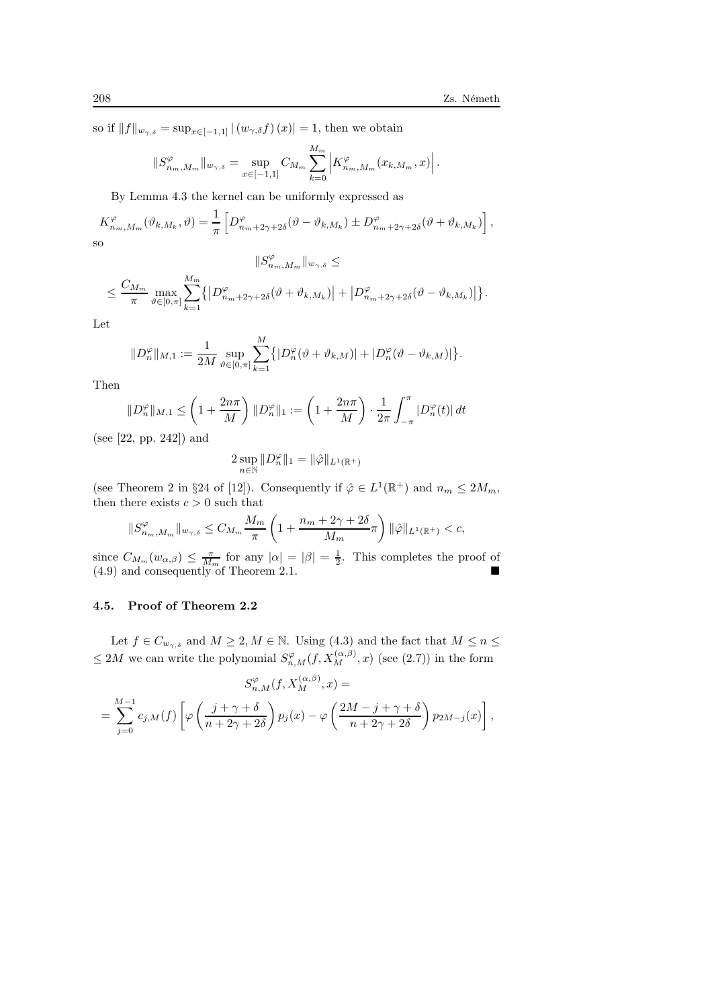so if  $||f||_{w_{\gamma,\delta}} = \sup_{x \in [-1,1]} |(w_{\gamma,\delta}f)(x)| = 1$ , then we obtain

$$
||S_{n_m,M_m}^{\varphi}||_{w_{\gamma,\delta}} = \sup_{x \in [-1,1]} C_{M_m} \sum_{k=0}^{M_m} \left| K_{n_m,M_m}^{\varphi}(x_{k,M_m},x) \right|.
$$

By Lemma 4.3 the kernel can be uniformly expressed as

$$
K_{n_m,M_m}^{\varphi}(\vartheta_{k,M_k},\vartheta) = \frac{1}{\pi} \left[ D_{n_m+2\gamma+2\delta}^{\varphi}(\vartheta - \vartheta_{k,M_k}) \pm D_{n_m+2\gamma+2\delta}^{\varphi}(\vartheta + \vartheta_{k,M_k}) \right],
$$
 so

$$
\|S_{n_m,M_m}^{\varphi}\|_{w_{\gamma,\delta}}\leq
$$

$$
\leq \frac{C_{M_m}}{\pi}\max_{\vartheta\in[0,\pi]}\sum_{k=1}^{M_m}\left\{\left|D^\varphi_{n_m+2\gamma+2\delta}(\vartheta+\vartheta_{k,M_k})\right|+\left|D^\varphi_{n_m+2\gamma+2\delta}(\vartheta-\vartheta_{k,M_k})\right|\right\}.
$$

Let

$$
||D_n^{\varphi}||_{M,1} := \frac{1}{2M} \sup_{\vartheta \in [0,\pi]} \sum_{k=1}^M \left\{ |D_n^{\varphi}(\vartheta + \vartheta_{k,M})| + |D_n^{\varphi}(\vartheta - \vartheta_{k,M})| \right\}.
$$

Then

$$
||D_n^{\varphi}||_{M,1} \le \left(1 + \frac{2n\pi}{M}\right) ||D_n^{\varphi}||_1 := \left(1 + \frac{2n\pi}{M}\right) \cdot \frac{1}{2\pi} \int_{-\pi}^{\pi} |D_n^{\varphi}(t)| dt
$$

(see [22, pp. 242]) and

$$
2\sup_{n\in\mathbb{N}}\|D_n^{\varphi}\|_1=\|\hat{\varphi}\|_{L^1(\mathbb{R}^+)}
$$

(see Theorem 2 in §24 of [12]). Consequently if  $\hat{\varphi} \in L^1(\mathbb{R}^+)$  and  $n_m \leq 2M_m$ , then there exists  $c > 0$  such that

$$
||S_{n_m,M_m}^{\varphi}||_{w_{\gamma,\delta}} \leq C_{M_m} \frac{M_m}{\pi} \left(1 + \frac{n_m + 2\gamma + 2\delta}{M_m}\pi\right) ||\hat{\varphi}||_{L^1(\mathbb{R}^+)} < c,
$$

since  $C_{M_m}(w_{\alpha,\beta}) \leq \frac{\pi}{M_m}$  for any  $|\alpha| = |\beta| = \frac{1}{2}$ . This completes the proof of  $(4.9)$  and consequently of Theorem 2.1.

## 4.5. Proof of Theorem 2.2

Let  $f \in C_{w_{\gamma,\delta}}$  and  $M \geq 2, M \in \mathbb{N}$ . Using (4.3) and the fact that  $M \leq n \leq$  $\leq 2M$  we can write the polynomial  $S^{\varphi}_{n,M}(f,X_M^{(\alpha,\beta)},x)$  (see (2.7)) in the form

$$
S_{n,M}^{\varphi}(f, X_M^{(\alpha,\beta)}, x) =
$$
  
= 
$$
\sum_{j=0}^{M-1} c_{j,M}(f) \left[ \varphi \left( \frac{j + \gamma + \delta}{n + 2\gamma + 2\delta} \right) p_j(x) - \varphi \left( \frac{2M - j + \gamma + \delta}{n + 2\gamma + 2\delta} \right) p_{2M-j}(x) \right],
$$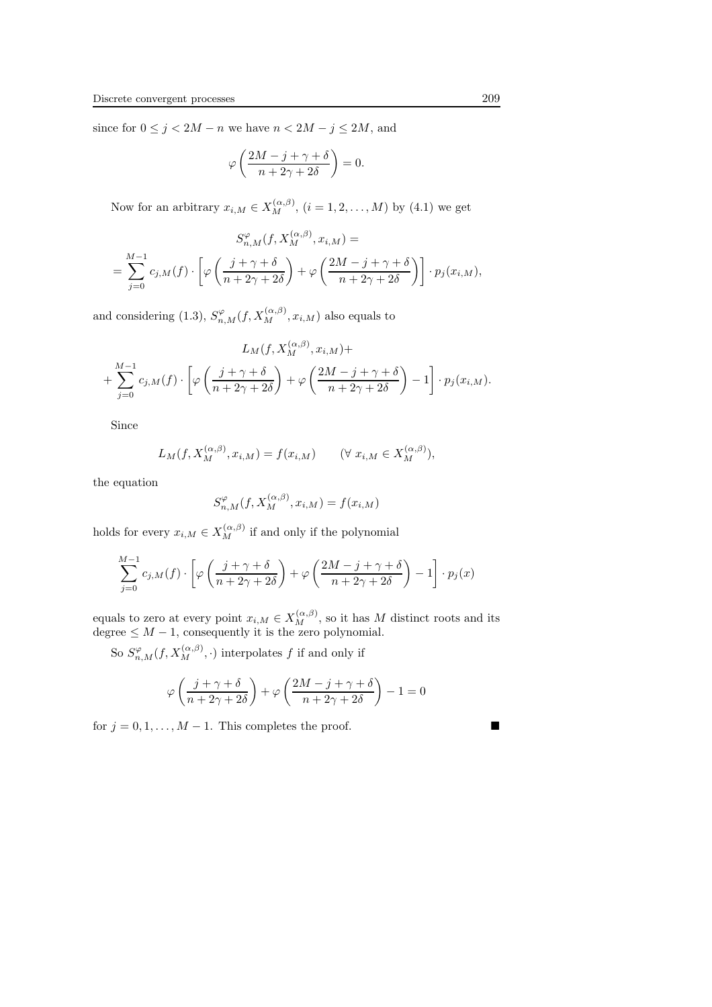since for  $0 \le j < 2M - n$  we have  $n < 2M - j \le 2M$ , and

$$
\varphi\left(\frac{2M-j+\gamma+\delta}{n+2\gamma+2\delta}\right)=0.
$$

Now for an arbitrary  $x_{i,M} \in X_M^{(\alpha,\beta)}$ ,  $(i = 1, 2, ..., M)$  by  $(4.1)$  we get

$$
S_{n,M}^{\varphi}(f, X_M^{(\alpha,\beta)}, x_{i,M}) =
$$
  
= 
$$
\sum_{j=0}^{M-1} c_{j,M}(f) \cdot \left[ \varphi \left( \frac{j + \gamma + \delta}{n + 2\gamma + 2\delta} \right) + \varphi \left( \frac{2M - j + \gamma + \delta}{n + 2\gamma + 2\delta} \right) \right] \cdot p_j(x_{i,M}),
$$

and considering (1.3),  $S_{n,M}^{\varphi}(f,X_M^{(\alpha,\beta)},x_{i,M})$  also equals to

$$
L_M(f, X_M^{(\alpha,\beta)}, x_{i,M}) +
$$
  
+ 
$$
\sum_{j=0}^{M-1} c_{j,M}(f) \cdot \left[ \varphi \left( \frac{j+\gamma+\delta}{n+2\gamma+2\delta} \right) + \varphi \left( \frac{2M-j+\gamma+\delta}{n+2\gamma+2\delta} \right) - 1 \right] \cdot p_j(x_{i,M}).
$$

Since

$$
L_M(f, X_M^{(\alpha,\beta)}, x_{i,M}) = f(x_{i,M}) \qquad (\forall \ x_{i,M} \in X_M^{(\alpha,\beta)}),
$$

the equation

$$
S_{n,M}^{\varphi}(f, X_M^{(\alpha,\beta)}, x_{i,M}) = f(x_{i,M})
$$

holds for every  $x_{i,M} \in X_M^{(\alpha,\beta)}$  if and only if the polynomial

$$
\sum_{j=0}^{M-1} c_{j,M}(f) \cdot \left[ \varphi \left( \frac{j + \gamma + \delta}{n + 2\gamma + 2\delta} \right) + \varphi \left( \frac{2M - j + \gamma + \delta}{n + 2\gamma + 2\delta} \right) - 1 \right] \cdot p_j(x)
$$

equals to zero at every point  $x_{i,M} \in X_M^{(\alpha,\beta)}$ , so it has M distinct roots and its degree  $\leq M-1$ , consequently it is the zero polynomial.

So  $S^{\varphi}_{n,M}(f,X_M^{(\alpha,\beta)},\cdot)$  interpolates f if and only if

$$
\varphi\left(\frac{j+\gamma+\delta}{n+2\gamma+2\delta}\right)+\varphi\left(\frac{2M-j+\gamma+\delta}{n+2\gamma+2\delta}\right)-1=0
$$

for  $j = 0, 1, \ldots, M - 1$ . This completes the proof.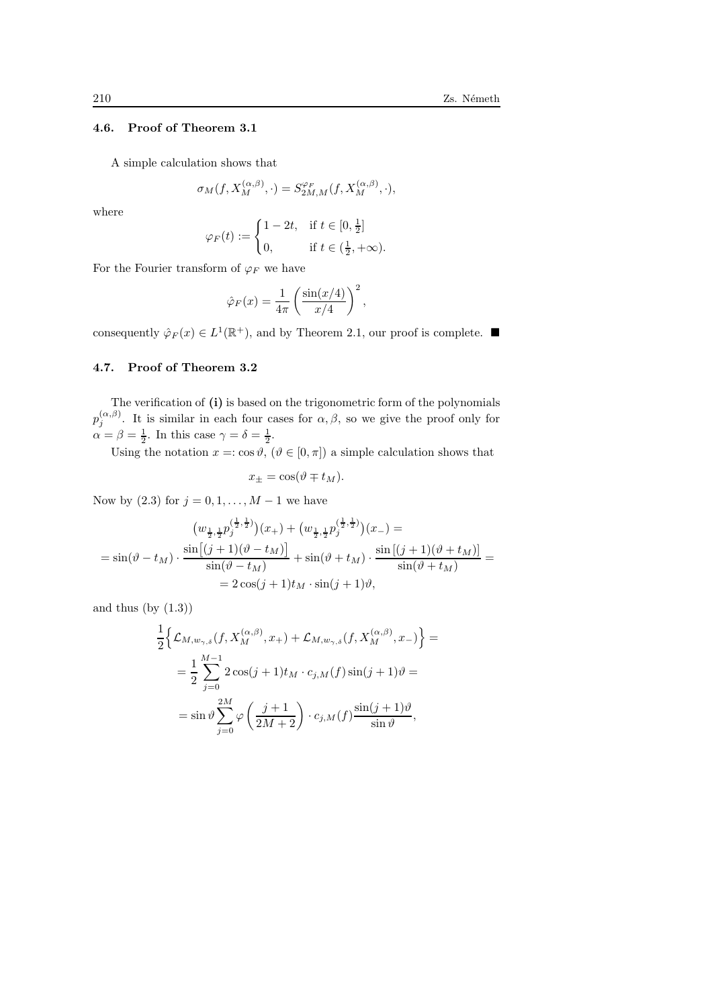## 4.6. Proof of Theorem 3.1

A simple calculation shows that

$$
\sigma_M(f,X_M^{(\alpha,\beta)},\cdot)=S_{2M,M}^{\varphi_F}(f,X_M^{(\alpha,\beta)},\cdot),
$$

where

$$
\varphi_F(t) := \begin{cases} 1 - 2t, & \text{if } t \in [0, \frac{1}{2}] \\ 0, & \text{if } t \in (\frac{1}{2}, +\infty). \end{cases}
$$

For the Fourier transform of  $\varphi_F$  we have

$$
\hat{\varphi}_F(x) = \frac{1}{4\pi} \left( \frac{\sin(x/4)}{x/4} \right)^2,
$$

consequently  $\hat{\varphi}_F(x) \in L^1(\mathbb{R}^+)$ , and by Theorem 2.1, our proof is complete.

## 4.7. Proof of Theorem 3.2

The verification of (i) is based on the trigonometric form of the polynomials  $p_j^{(\alpha,\beta)}$ . It is similar in each four cases for  $\alpha,\beta$ , so we give the proof only for  $\alpha = \beta = \frac{1}{2}$ . In this case  $\gamma = \delta = \frac{1}{2}$ .

Using the notation  $x = \cos \vartheta$ ,  $(\vartheta \in [0, \pi])$  a simple calculation shows that

$$
x_{\pm} = \cos(\vartheta \mp t_M).
$$

Now by (2.3) for  $j = 0, 1, ..., M - 1$  we have

$$
\left(w_{\frac{1}{2},\frac{1}{2}}p_j^{(\frac{1}{2},\frac{1}{2})}\right)(x_+) + \left(w_{\frac{1}{2},\frac{1}{2}}p_j^{(\frac{1}{2},\frac{1}{2})}\right)(x_-) =
$$
\n
$$
= \sin(\vartheta - t_M) \cdot \frac{\sin\left[(j+1)(\vartheta - t_M)\right]}{\sin(\vartheta - t_M)} + \sin(\vartheta + t_M) \cdot \frac{\sin\left[(j+1)(\vartheta + t_M)\right]}{\sin(\vartheta + t_M)} =
$$
\n
$$
= 2\cos(j+1)t_M \cdot \sin(j+1)\vartheta,
$$

and thus  $(by (1.3))$ 

$$
\frac{1}{2}\Big\{\mathcal{L}_{M,w_{\gamma,\delta}}(f, X_M^{(\alpha,\beta)}, x_+) + \mathcal{L}_{M,w_{\gamma,\delta}}(f, X_M^{(\alpha,\beta)}, x_-)\Big\} =
$$

$$
= \frac{1}{2}\sum_{j=0}^{M-1} 2\cos(j+1)t_M \cdot c_{j,M}(f)\sin(j+1)\vartheta =
$$

$$
= \sin\vartheta \sum_{j=0}^{2M} \varphi\left(\frac{j+1}{2M+2}\right) \cdot c_{j,M}(f) \frac{\sin(j+1)\vartheta}{\sin\vartheta},
$$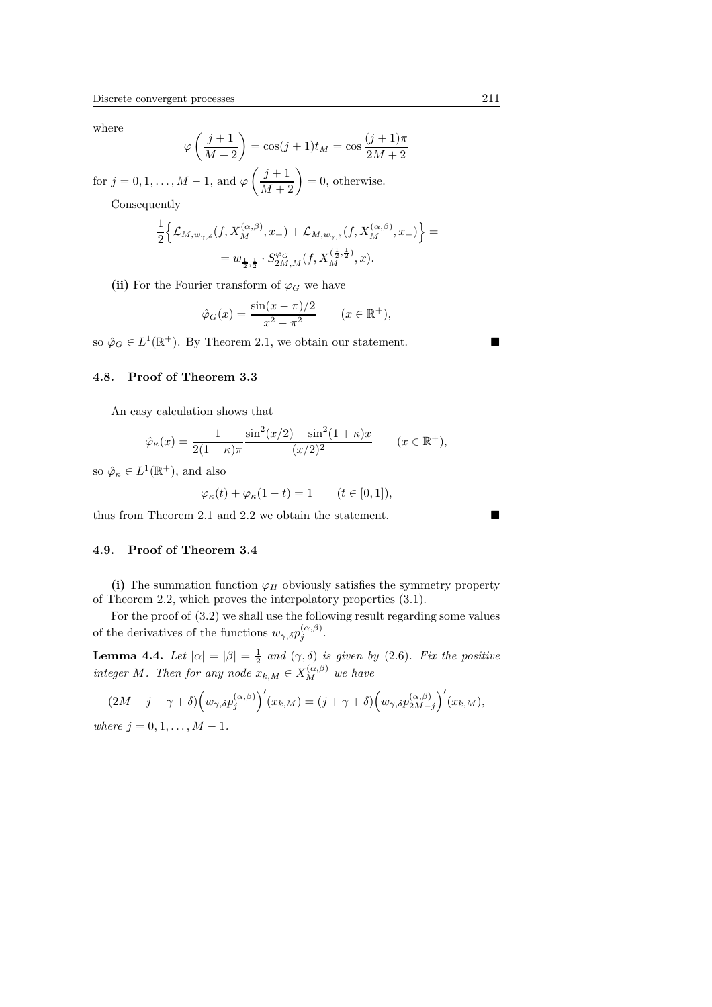where

$$
\varphi\left(\frac{j+1}{M+2}\right) = \cos(j+1)t_M = \cos\frac{(j+1)\pi}{2M+2}
$$

for  $j = 0, 1, ..., M - 1$ , and  $\varphi\left(\frac{j+1}{M+2}\right) = 0$ , otherwise.

Consequently

$$
\frac{1}{2} \Big\{ \mathcal{L}_{M,w_{\gamma,\delta}}(f, X_M^{(\alpha,\beta)}, x_+) + \mathcal{L}_{M,w_{\gamma,\delta}}(f, X_M^{(\alpha,\beta)}, x_-) \Big\} =
$$
  
=  $w_{\frac{1}{2},\frac{1}{2}} \cdot S_{2M,M}^{\varphi_G}(f, X_M^{(\frac{1}{2},\frac{1}{2})}, x).$ 

(ii) For the Fourier transform of  $\varphi_G$  we have

$$
\hat{\varphi}_G(x) = \frac{\sin(x - \pi)/2}{x^2 - \pi^2} \qquad (x \in \mathbb{R}^+),
$$

so  $\hat{\varphi}_G \in L^1(\mathbb{R}^+)$ . By Theorem 2.1, we obtain our statement.

## 4.8. Proof of Theorem 3.3

An easy calculation shows that

$$
\hat{\varphi}_{\kappa}(x) = \frac{1}{2(1-\kappa)\pi} \frac{\sin^2(x/2) - \sin^2(1+\kappa)x}{(x/2)^2} \qquad (x \in \mathbb{R}^+),
$$

so  $\hat{\varphi}_{\kappa} \in L^1(\mathbb{R}^+)$ , and also

$$
\varphi_{\kappa}(t) + \varphi_{\kappa}(1-t) = 1 \qquad (t \in [0,1]),
$$

thus from Theorem 2.1 and 2.2 we obtain the statement.

#### 4.9. Proof of Theorem 3.4

(i) The summation function  $\varphi_H$  obviously satisfies the symmetry property of Theorem 2.2, which proves the interpolatory properties (3.1).

For the proof of (3.2) we shall use the following result regarding some values of the derivatives of the functions  $w_{\gamma,\delta}p_j^{(\alpha,\beta)}$ .

**Lemma 4.4.** Let  $|\alpha| = |\beta| = \frac{1}{2}$  and  $(\gamma, \delta)$  is given by (2.6). Fix the positive integer M. Then for any node  $x_{k,M} \in X_M^{(\alpha,\beta)}$  we have

$$
(2M - j + \gamma + \delta) \left(w_{\gamma,\delta} p_j^{(\alpha,\beta)}\right)'(x_{k,M}) = (j + \gamma + \delta) \left(w_{\gamma,\delta} p_{2M-j}^{(\alpha,\beta)}\right)'(x_{k,M}),
$$
  
where  $j = 0, 1, ..., M - 1$ .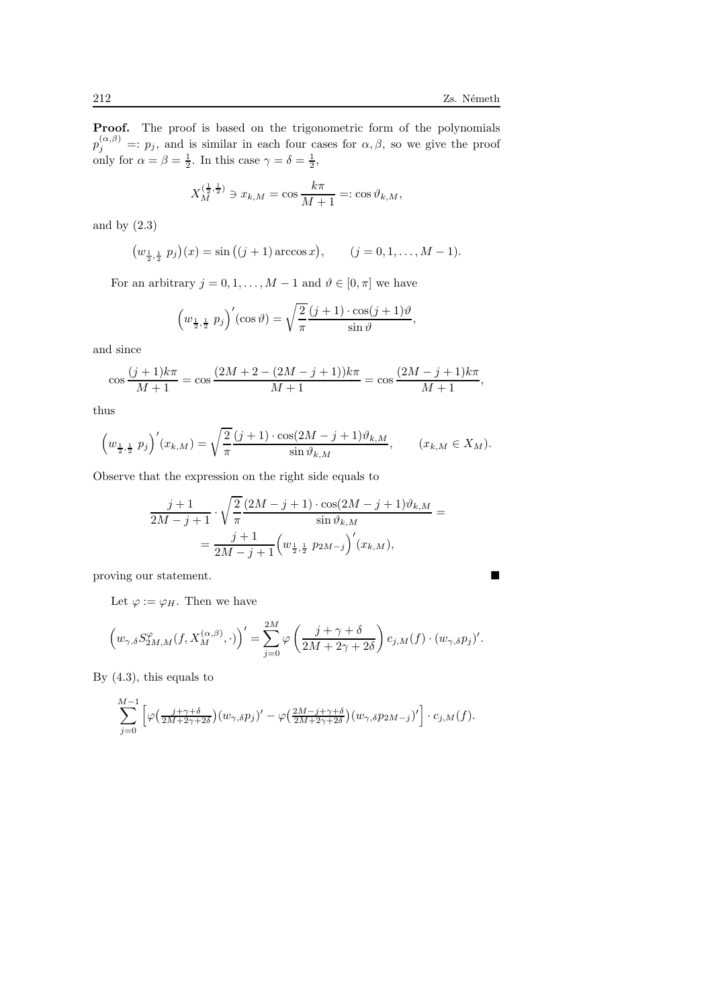Proof. The proof is based on the trigonometric form of the polynomials  $p_j^{(\alpha,\beta)} =: p_j$ , and is similar in each four cases for  $\alpha, \beta$ , so we give the proof only for  $\alpha = \beta = \frac{1}{2}$ . In this case  $\gamma = \delta = \frac{1}{2}$ ,

$$
X_M^{(\frac{1}{2},\frac{1}{2})} \ni x_{k,M} = \cos \frac{k\pi}{M+1} =: \cos \vartheta_{k,M},
$$

and by (2.3)

$$
(w_{\frac{1}{2},\frac{1}{2}} p_j)(x) = \sin ((j + 1) \arccos x),
$$
  $(j = 0, 1, ..., M - 1).$ 

For an arbitrary  $j = 0, 1, ..., M - 1$  and  $\vartheta \in [0, \pi]$  we have

$$
\left(w_{\frac{1}{2},\frac{1}{2}} p_j\right)'(\cos\vartheta) = \sqrt{\frac{2}{\pi}} \frac{(j+1)\cdot\cos(j+1)\vartheta}{\sin\vartheta},
$$

and since

$$
\cos\frac{(j+1)k\pi}{M+1} = \cos\frac{(2M+2-(2M-j+1))k\pi}{M+1} = \cos\frac{(2M-j+1)k\pi}{M+1},
$$

thus

$$
\left(w_{\frac{1}{2},\frac{1}{2}} p_j\right)'(x_{k,M}) = \sqrt{\frac{2}{\pi}} \frac{(j+1)\cdot \cos(2M-j+1)\vartheta_{k,M}}{\sin \vartheta_{k,M}}, \qquad (x_{k,M} \in X_M).
$$

Observe that the expression on the right side equals to

$$
\frac{j+1}{2M-j+1} \cdot \sqrt{\frac{2}{\pi}} \frac{(2M-j+1) \cdot \cos(2M-j+1) \vartheta_{k,M}}{\sin \vartheta_{k,M}} =
$$

$$
= \frac{j+1}{2M-j+1} \left( w_{\frac{1}{2},\frac{1}{2}} p_{2M-j} \right)' (x_{k,M}),
$$

proving our statement.

Let  $\varphi := \varphi_H$ . Then we have

$$
\left(w_{\gamma,\delta}S_{2M,M}^{\varphi}(f,X_M^{(\alpha,\beta)},\cdot)\right)'=\sum_{j=0}^{2M}\varphi\left(\frac{j+\gamma+\delta}{2M+2\gamma+2\delta}\right)c_{j,M}(f)\cdot(w_{\gamma,\delta}p_j)'.
$$

By (4.3), this equals to

$$
\sum_{j=0}^{M-1} \left[ \varphi\left(\frac{j+\gamma+\delta}{2M+2\gamma+2\delta}\right) (w_{\gamma,\delta}p_j)' - \varphi\left(\frac{2M-j+\gamma+\delta}{2M+2\gamma+2\delta}\right) (w_{\gamma,\delta}p_{2M-j})' \right] \cdot c_{j,M}(f).
$$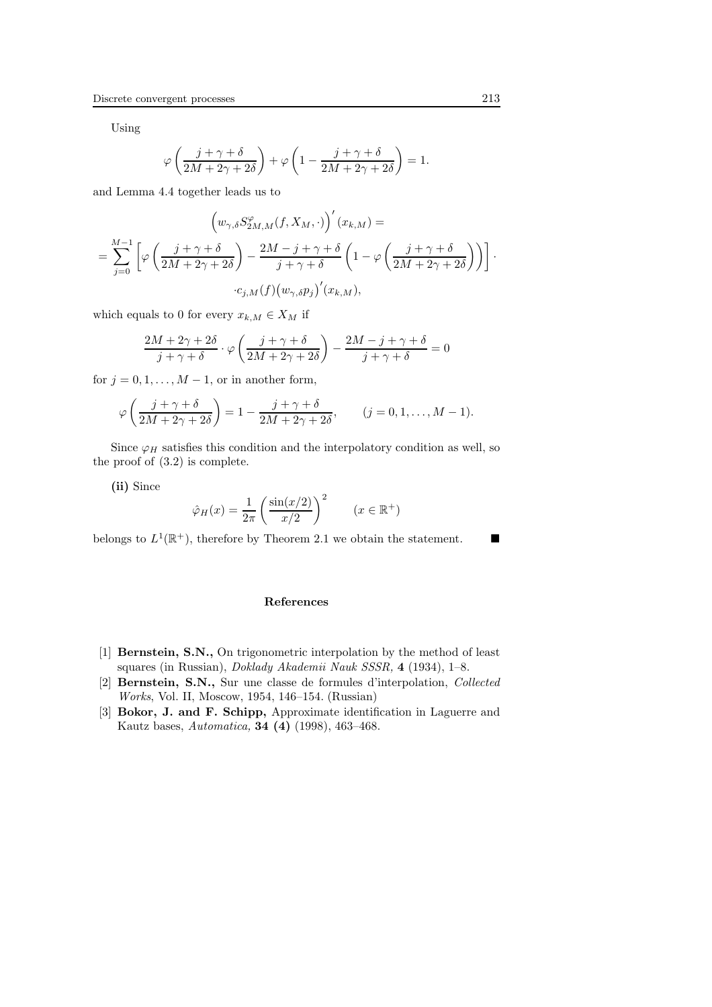Using

$$
\varphi\left(\frac{j+\gamma+\delta}{2M+2\gamma+2\delta}\right)+\varphi\left(1-\frac{j+\gamma+\delta}{2M+2\gamma+2\delta}\right)=1.
$$

and Lemma 4.4 together leads us to

$$
\left(w_{\gamma,\delta}S_{2M,M}^{\varphi}(f,X_M,\cdot)\right)'(x_{k,M}) =
$$
\n
$$
= \sum_{j=0}^{M-1} \left[\varphi\left(\frac{j+\gamma+\delta}{2M+2\gamma+2\delta}\right) - \frac{2M-j+\gamma+\delta}{j+\gamma+\delta}\left(1-\varphi\left(\frac{j+\gamma+\delta}{2M+2\gamma+2\delta}\right)\right)\right].
$$
\n
$$
\cdot c_{j,M}(f)(w_{\gamma,\delta}p_j)'(x_{k,M}),
$$

which equals to 0 for every  $x_{k,M} \in X_M$  if

$$
\frac{2M+2\gamma+2\delta}{j+\gamma+\delta}\cdot\varphi\left(\frac{j+\gamma+\delta}{2M+2\gamma+2\delta}\right)-\frac{2M-j+\gamma+\delta}{j+\gamma+\delta}=0
$$

for  $j = 0, 1, \ldots, M - 1$ , or in another form,

$$
\varphi\left(\frac{j+\gamma+\delta}{2M+2\gamma+2\delta}\right) = 1 - \frac{j+\gamma+\delta}{2M+2\gamma+2\delta}, \qquad (j = 0, 1, \dots, M-1).
$$

Since  $\varphi_H$  satisfies this condition and the interpolatory condition as well, so the proof of (3.2) is complete.

(ii) Since

$$
\hat{\varphi}_H(x) = \frac{1}{2\pi} \left( \frac{\sin(x/2)}{x/2} \right)^2 \qquad (x \in \mathbb{R}^+)
$$

belongs to  $L^1(\mathbb{R}^+)$ , therefore by Theorem 2.1 we obtain the statement.

#### References

- [1] Bernstein, S.N., On trigonometric interpolation by the method of least squares (in Russian), Doklady Akademii Nauk SSSR, 4 (1934), 1–8.
- [2] Bernstein, S.N., Sur une classe de formules d'interpolation, Collected Works, Vol. II, Moscow, 1954, 146–154. (Russian)
- [3] Bokor, J. and F. Schipp, Approximate identification in Laguerre and Kautz bases, Automatica, 34 (4) (1998), 463–468.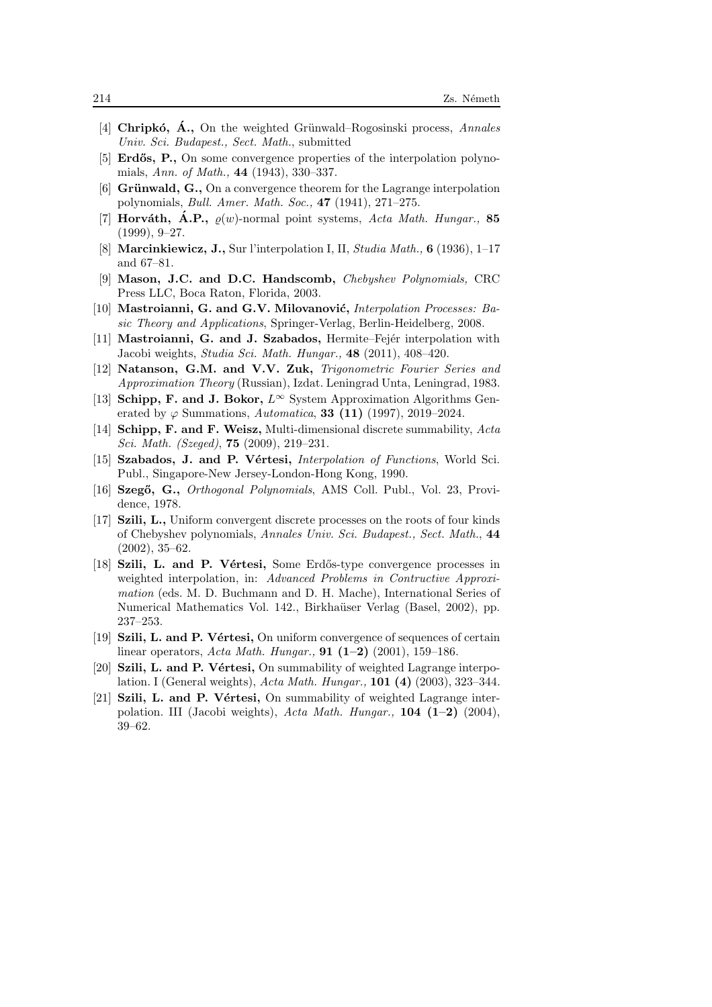- [4] Chripkó,  $\vec{A}$ ., On the weighted Grünwald–Rogosinski process, Annales Univ. Sci. Budapest., Sect. Math., submitted
- [5] **Erdős, P.,** On some convergence properties of the interpolation polynomials, Ann. of Math., 44 (1943), 330–337.
- [6] Grünwald,  $\mathbf{G}$ ., On a convergence theorem for the Lagrange interpolation polynomials, Bull. Amer. Math. Soc., 47 (1941), 271–275.
- [7] **Horváth, A.P.,**  $\rho(w)$ -normal point systems, Acta Math. Hungar., 85 (1999), 9–27.
- [8] Marcinkiewicz, J., Sur l'interpolation I, II, Studia Math., 6 (1936), 1–17 and 67–81.
- [9] Mason, J.C. and D.C. Handscomb, Chebyshev Polynomials, CRC Press LLC, Boca Raton, Florida, 2003.
- [10] Mastroianni, G. and G.V. Milovanović, *Interpolation Processes: Ba*sic Theory and Applications, Springer-Verlag, Berlin-Heidelberg, 2008.
- [11] Mastroianni, G. and J. Szabados, Hermite–Fejér interpolation with Jacobi weights, Studia Sci. Math. Hungar., 48 (2011), 408–420.
- [12] Natanson, G.M. and V.V. Zuk, Trigonometric Fourier Series and Approximation Theory (Russian), Izdat. Leningrad Unta, Leningrad, 1983.
- [13] Schipp, F. and J. Bokor,  $L^{\infty}$  System Approximation Algorithms Generated by  $\varphi$  Summations, Automatica, 33 (11) (1997), 2019–2024.
- [14] Schipp, F. and F. Weisz, Multi-dimensional discrete summability,  $Acta$ Sci. Math. (Szeged), 75 (2009), 219–231.
- [15] Szabados, J. and P. Vértesi, *Interpolation of Functions*, World Sci. Publ., Singapore-New Jersey-London-Hong Kong, 1990.
- [16] Szegő, G., Orthogonal Polynomials, AMS Coll. Publ., Vol. 23, Providence, 1978.
- [17] Szili, L., Uniform convergent discrete processes on the roots of four kinds of Chebyshev polynomials, Annales Univ. Sci. Budapest., Sect. Math., 44 (2002), 35–62.
- [18] Szili, L. and P. Vértesi, Some Erdős-type convergence processes in weighted interpolation, in: Advanced Problems in Contructive Approximation (eds. M. D. Buchmann and D. H. Mache), International Series of Numerical Mathematics Vol. 142., Birkhaüser Verlag (Basel, 2002), pp. 237–253.
- [19] Szili, L. and P. Vértesi, On uniform convergence of sequences of certain linear operators, Acta Math. Hungar., **91 (1–2)** (2001), 159–186.
- [20] **Szili, L. and P. Vértesi,** On summability of weighted Lagrange interpolation. I (General weights), Acta Math. Hungar., 101 (4) (2003), 323–344.
- [21] Szili, L. and P. Vértesi, On summability of weighted Lagrange interpolation. III (Jacobi weights), Acta Math. Hungar.,  $104$  (1–2) (2004), 39–62.